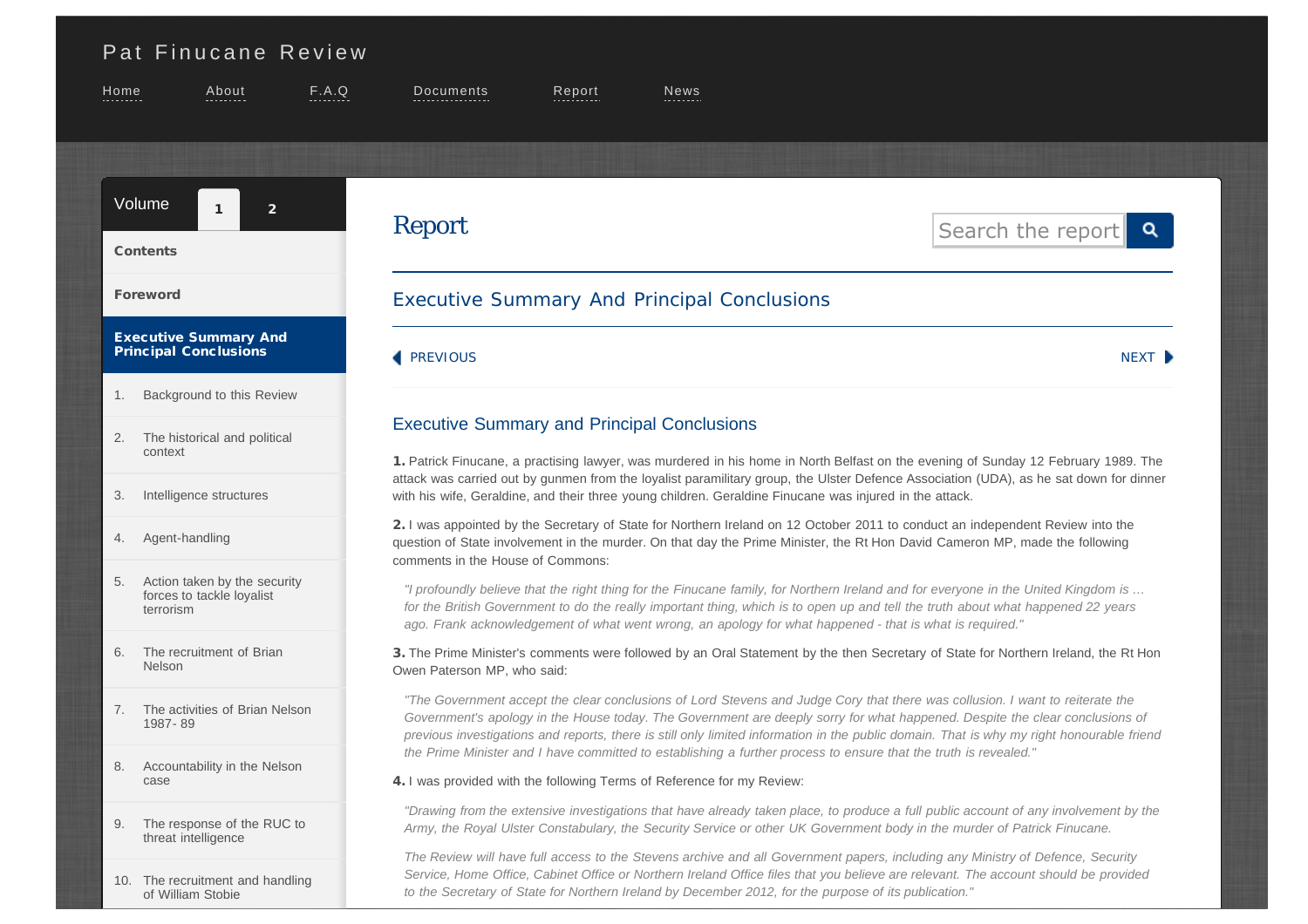# <span id="page-0-0"></span>[Pat Finucane Review](http://www.patfinucanereview.org/)

[of William Stobie](http://www.patfinucanereview.org/report/volume01/chapter010/)

<span id="page-0-1"></span>

| Home                                                                                                                                                                                                                                                                                                                        | About                                                                                                                                                                                                                                                                                                                                                                                                                                   | F.A.Q | Documents                                                                                                                                                                                                                                                                                                                                                                                                  | $R$ eport | News |                                                                                                                                        |  |
|-----------------------------------------------------------------------------------------------------------------------------------------------------------------------------------------------------------------------------------------------------------------------------------------------------------------------------|-----------------------------------------------------------------------------------------------------------------------------------------------------------------------------------------------------------------------------------------------------------------------------------------------------------------------------------------------------------------------------------------------------------------------------------------|-------|------------------------------------------------------------------------------------------------------------------------------------------------------------------------------------------------------------------------------------------------------------------------------------------------------------------------------------------------------------------------------------------------------------|-----------|------|----------------------------------------------------------------------------------------------------------------------------------------|--|
|                                                                                                                                                                                                                                                                                                                             | Volume<br>2 <sup>1</sup><br>$\mathbf{1}$                                                                                                                                                                                                                                                                                                                                                                                                |       | <b>Report</b>                                                                                                                                                                                                                                                                                                                                                                                              |           |      | Search the report<br>Q                                                                                                                 |  |
|                                                                                                                                                                                                                                                                                                                             | <b>Contents</b>                                                                                                                                                                                                                                                                                                                                                                                                                         |       |                                                                                                                                                                                                                                                                                                                                                                                                            |           |      |                                                                                                                                        |  |
| <b>Foreword</b>                                                                                                                                                                                                                                                                                                             |                                                                                                                                                                                                                                                                                                                                                                                                                                         |       | <b>Executive Summary And Principal Conclusions</b>                                                                                                                                                                                                                                                                                                                                                         |           |      |                                                                                                                                        |  |
|                                                                                                                                                                                                                                                                                                                             | <b>Executive Summary And</b><br><b>Principal Conclusions</b>                                                                                                                                                                                                                                                                                                                                                                            |       | <b>PREVIOUS</b>                                                                                                                                                                                                                                                                                                                                                                                            |           |      | NEXT D                                                                                                                                 |  |
| 1.                                                                                                                                                                                                                                                                                                                          | Background to this Review                                                                                                                                                                                                                                                                                                                                                                                                               |       |                                                                                                                                                                                                                                                                                                                                                                                                            |           |      |                                                                                                                                        |  |
| 2.                                                                                                                                                                                                                                                                                                                          | The historical and political<br>context                                                                                                                                                                                                                                                                                                                                                                                                 |       | <b>Executive Summary and Principal Conclusions</b><br>1. Patrick Finucane, a practising lawyer, was murdered in his home in North Belfast on the evening of Sunday 12 February 1989. The                                                                                                                                                                                                                   |           |      |                                                                                                                                        |  |
| Intelligence structures<br>3.<br>with his wife, Geraldine, and their three young children. Geraldine Finucane was injured in the attack.                                                                                                                                                                                    |                                                                                                                                                                                                                                                                                                                                                                                                                                         |       |                                                                                                                                                                                                                                                                                                                                                                                                            |           |      | attack was carried out by gunmen from the loyalist paramilitary group, the Ulster Defence Association (UDA), as he sat down for dinner |  |
| Agent-handling<br>4.                                                                                                                                                                                                                                                                                                        |                                                                                                                                                                                                                                                                                                                                                                                                                                         |       | 2. I was appointed by the Secretary of State for Northern Ireland on 12 October 2011 to conduct an independent Review into the<br>question of State involvement in the murder. On that day the Prime Minister, the Rt Hon David Cameron MP, made the following<br>comments in the House of Commons:                                                                                                        |           |      |                                                                                                                                        |  |
| 5.                                                                                                                                                                                                                                                                                                                          | Action taken by the security<br>forces to tackle loyalist<br>terrorism                                                                                                                                                                                                                                                                                                                                                                  |       | "I profoundly believe that the right thing for the Finucane family, for Northern Ireland and for everyone in the United Kingdom is<br>for the British Government to do the really important thing, which is to open up and tell the truth about what happened 22 years<br>ago. Frank acknowledgement of what went wrong, an apology for what happened - that is what is required."                         |           |      |                                                                                                                                        |  |
| 6.                                                                                                                                                                                                                                                                                                                          | The recruitment of Brian<br>3. The Prime Minister's comments were followed by an Oral Statement by the then Secretary of State for Northern Ireland, the Rt Hon<br><b>Nelson</b><br>Owen Paterson MP, who said:                                                                                                                                                                                                                         |       |                                                                                                                                                                                                                                                                                                                                                                                                            |           |      |                                                                                                                                        |  |
| 7.                                                                                                                                                                                                                                                                                                                          | The activities of Brian Nelson<br>1987-89                                                                                                                                                                                                                                                                                                                                                                                               |       | "The Government accept the clear conclusions of Lord Stevens and Judge Cory that there was collusion. I want to reiterate the<br>Government's apology in the House today. The Government are deeply sorry for what happened. Despite the clear conclusions of<br>previous investigations and reports, there is still only limited information in the public domain. That is why my right honourable friend |           |      |                                                                                                                                        |  |
| Accountability in the Nelson<br>8.<br>case                                                                                                                                                                                                                                                                                  |                                                                                                                                                                                                                                                                                                                                                                                                                                         |       | the Prime Minister and I have committed to establishing a further process to ensure that the truth is revealed."<br>4. I was provided with the following Terms of Reference for my Review:                                                                                                                                                                                                                 |           |      |                                                                                                                                        |  |
| "Drawing from the extensive investigations that have already taken place, to produce a full public account of any involvement by the<br>The response of the RUC to<br>9.<br>Army, the Royal Ulster Constabulary, the Security Service or other UK Government body in the murder of Patrick Finucane.<br>threat intelligence |                                                                                                                                                                                                                                                                                                                                                                                                                                         |       |                                                                                                                                                                                                                                                                                                                                                                                                            |           |      |                                                                                                                                        |  |
|                                                                                                                                                                                                                                                                                                                             | The Review will have full access to the Stevens archive and all Government papers, including any Ministry of Defence, Security<br>Service, Home Office, Cabinet Office or Northern Ireland Office files that you believe are relevant. The account should be provided<br>10. The recruitment and handling<br>to the Secretary of State for Northern Ireland by December 2012, for the purpose of its publication."<br>of William Stobie |       |                                                                                                                                                                                                                                                                                                                                                                                                            |           |      |                                                                                                                                        |  |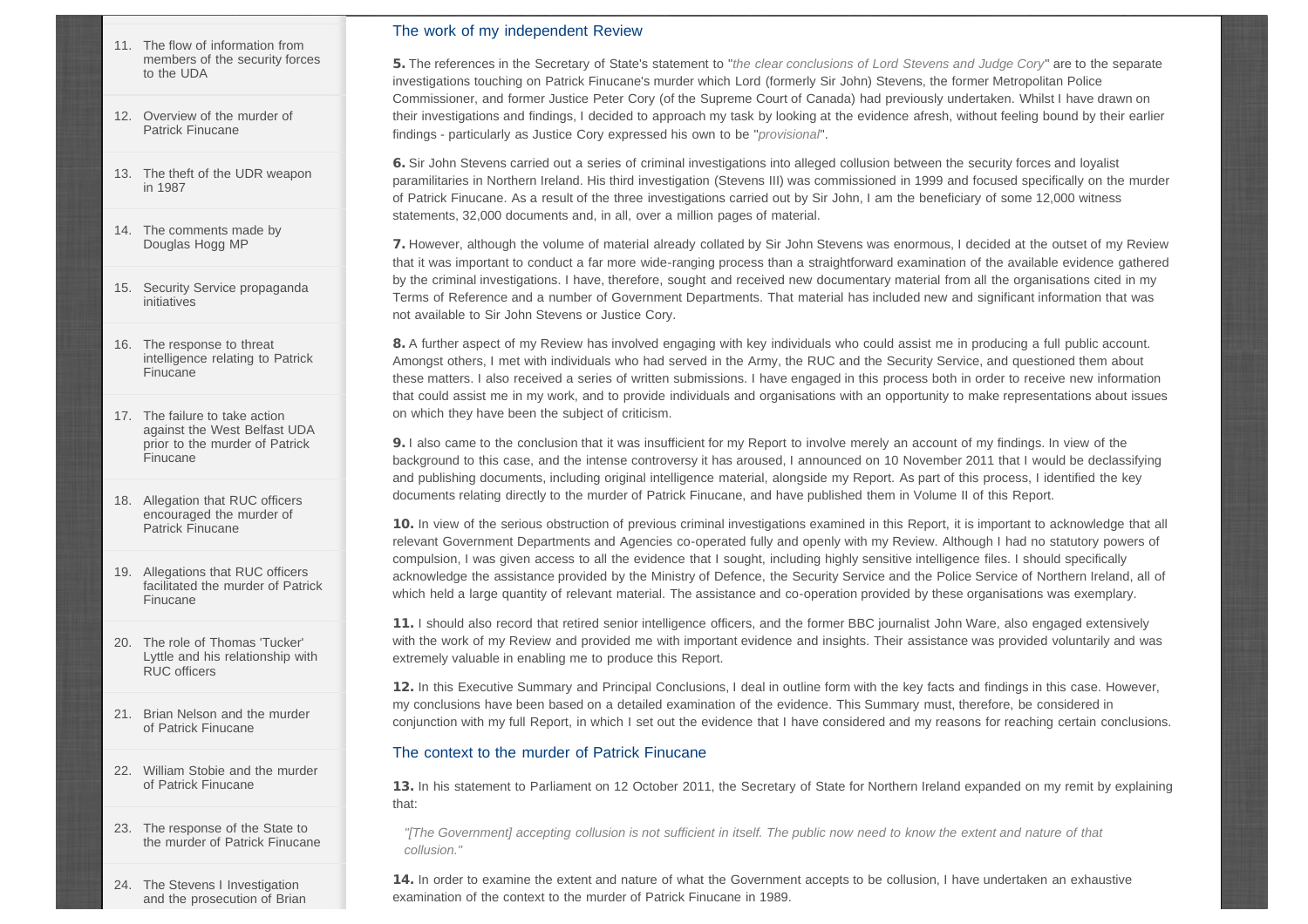- [11.](http://www.patfinucanereview.org/report/volume01/chapter011/) [The flow of information from](http://www.patfinucanereview.org/report/volume01/chapter011/) [members of the security forces](http://www.patfinucanereview.org/report/volume01/chapter011/) [to the UDA](http://www.patfinucanereview.org/report/volume01/chapter011/)
- [12.](http://www.patfinucanereview.org/report/volume01/chapter012/) [Overview of the murder of](http://www.patfinucanereview.org/report/volume01/chapter012/) [Patrick Finucane](http://www.patfinucanereview.org/report/volume01/chapter012/)
- [13.](http://www.patfinucanereview.org/report/volume01/chapter013/) [The theft of the UDR weapon](http://www.patfinucanereview.org/report/volume01/chapter013/) [in 1987](http://www.patfinucanereview.org/report/volume01/chapter013/)
- [14.](http://www.patfinucanereview.org/report/volume01/chapter014/) [The comments made by](http://www.patfinucanereview.org/report/volume01/chapter014/) [Douglas Hogg MP](http://www.patfinucanereview.org/report/volume01/chapter014/)
- [15.](http://www.patfinucanereview.org/report/volume01/chapter015/) [Security Service propaganda](http://www.patfinucanereview.org/report/volume01/chapter015/) [initiatives](http://www.patfinucanereview.org/report/volume01/chapter015/)
- [16.](http://www.patfinucanereview.org/report/volume01/chapter016/) [The response to threat](http://www.patfinucanereview.org/report/volume01/chapter016/) [intelligence relating to Patrick](http://www.patfinucanereview.org/report/volume01/chapter016/) [Finucane](http://www.patfinucanereview.org/report/volume01/chapter016/)
- [17.](http://www.patfinucanereview.org/report/volume01/chapter017/) [The failure to take action](http://www.patfinucanereview.org/report/volume01/chapter017/) [against the West Belfast UDA](http://www.patfinucanereview.org/report/volume01/chapter017/) [prior to the murder of Patrick](http://www.patfinucanereview.org/report/volume01/chapter017/) [Finucane](http://www.patfinucanereview.org/report/volume01/chapter017/)
- [18.](http://www.patfinucanereview.org/report/volume01/chapter018/) [Allegation that RUC officers](http://www.patfinucanereview.org/report/volume01/chapter018/) [encouraged the murder of](http://www.patfinucanereview.org/report/volume01/chapter018/) [Patrick Finucane](http://www.patfinucanereview.org/report/volume01/chapter018/)
- [19.](http://www.patfinucanereview.org/report/volume01/chapter019/) [Allegations that RUC officers](http://www.patfinucanereview.org/report/volume01/chapter019/) [facilitated the murder of Patrick](http://www.patfinucanereview.org/report/volume01/chapter019/) [Finucane](http://www.patfinucanereview.org/report/volume01/chapter019/)
- [20.](http://www.patfinucanereview.org/report/volume01/chapter020/) [The role of Thomas 'Tucker'](http://www.patfinucanereview.org/report/volume01/chapter020/) [Lyttle and his relationship with](http://www.patfinucanereview.org/report/volume01/chapter020/) [RUC officers](http://www.patfinucanereview.org/report/volume01/chapter020/)
- [21.](http://www.patfinucanereview.org/report/volume01/chapter021/) [Brian Nelson and the murder](http://www.patfinucanereview.org/report/volume01/chapter021/) [of Patrick Finucane](http://www.patfinucanereview.org/report/volume01/chapter021/)
- [22.](http://www.patfinucanereview.org/report/volume01/chapter022/) [William Stobie and the murder](http://www.patfinucanereview.org/report/volume01/chapter022/) [of Patrick Finucane](http://www.patfinucanereview.org/report/volume01/chapter022/)
- [23.](http://www.patfinucanereview.org/report/volume01/chapter023/) [The response of the State to](http://www.patfinucanereview.org/report/volume01/chapter023/) [the murder of Patrick Finucane](http://www.patfinucanereview.org/report/volume01/chapter023/)
- [24.](http://www.patfinucanereview.org/report/volume01/chapter024/) [The Stevens I Investigation](http://www.patfinucanereview.org/report/volume01/chapter024/) [and the prosecution of Brian](http://www.patfinucanereview.org/report/volume01/chapter024/)

# The work of my independent Review

5. The references in the Secretary of State's statement to "*the clear conclusions of Lord Stevens and Judge Cory*" are to the separate investigations touching on Patrick Finucane's murder which Lord (formerly Sir John) Stevens, the former Metropolitan Police Commissioner, and former Justice Peter Cory (of the Supreme Court of Canada) had previously undertaken. Whilst I have drawn on their investigations and findings, I decided to approach my task by looking at the evidence afresh, without feeling bound by their earlier findings - particularly as Justice Cory expressed his own to be "*provisional*".

6. Sir John Stevens carried out a series of criminal investigations into alleged collusion between the security forces and loyalist paramilitaries in Northern Ireland. His third investigation (Stevens III) was commissioned in 1999 and focused specifically on the murder of Patrick Finucane. As a result of the three investigations carried out by Sir John, I am the beneficiary of some 12,000 witness statements, 32,000 documents and, in all, over a million pages of material.

7. However, although the volume of material already collated by Sir John Stevens was enormous, I decided at the outset of my Review that it was important to conduct a far more wide-ranging process than a straightforward examination of the available evidence gathered by the criminal investigations. I have, therefore, sought and received new documentary material from all the organisations cited in my Terms of Reference and a number of Government Departments. That material has included new and significant information that was not available to Sir John Stevens or Justice Cory.

8. A further aspect of my Review has involved engaging with key individuals who could assist me in producing a full public account. Amongst others, I met with individuals who had served in the Army, the RUC and the Security Service, and questioned them about these matters. I also received a series of written submissions. I have engaged in this process both in order to receive new information that could assist me in my work, and to provide individuals and organisations with an opportunity to make representations about issues on which they have been the subject of criticism.

9. I also came to the conclusion that it was insufficient for my Report to involve merely an account of my findings. In view of the background to this case, and the intense controversy it has aroused, I announced on 10 November 2011 that I would be declassifying and publishing documents, including original intelligence material, alongside my Report. As part of this process, I identified the key documents relating directly to the murder of Patrick Finucane, and have published them in Volume II of this Report.

10. In view of the serious obstruction of previous criminal investigations examined in this Report, it is important to acknowledge that all relevant Government Departments and Agencies co-operated fully and openly with my Review. Although I had no statutory powers of compulsion, I was given access to all the evidence that I sought, including highly sensitive intelligence files. I should specifically acknowledge the assistance provided by the Ministry of Defence, the Security Service and the Police Service of Northern Ireland, all of which held a large quantity of relevant material. The assistance and co-operation provided by these organisations was exemplary.

11. I should also record that retired senior intelligence officers, and the former BBC journalist John Ware, also engaged extensively with the work of my Review and provided me with important evidence and insights. Their assistance was provided voluntarily and was extremely valuable in enabling me to produce this Report.

12. In this Executive Summary and Principal Conclusions, I deal in outline form with the key facts and findings in this case. However, my conclusions have been based on a detailed examination of the evidence. This Summary must, therefore, be considered in conjunction with my full Report, in which I set out the evidence that I have considered and my reasons for reaching certain conclusions.

# The context to the murder of Patrick Finucane

13. In his statement to Parliament on 12 October 2011, the Secretary of State for Northern Ireland expanded on my remit by explaining that:

*"[The Government] accepting collusion is not sufficient in itself. The public now need to know the extent and nature of that collusion."*

14. In order to examine the extent and nature of what the Government accepts to be collusion, I have undertaken an exhaustive examination of the context to the murder of Patrick Finucane in 1989.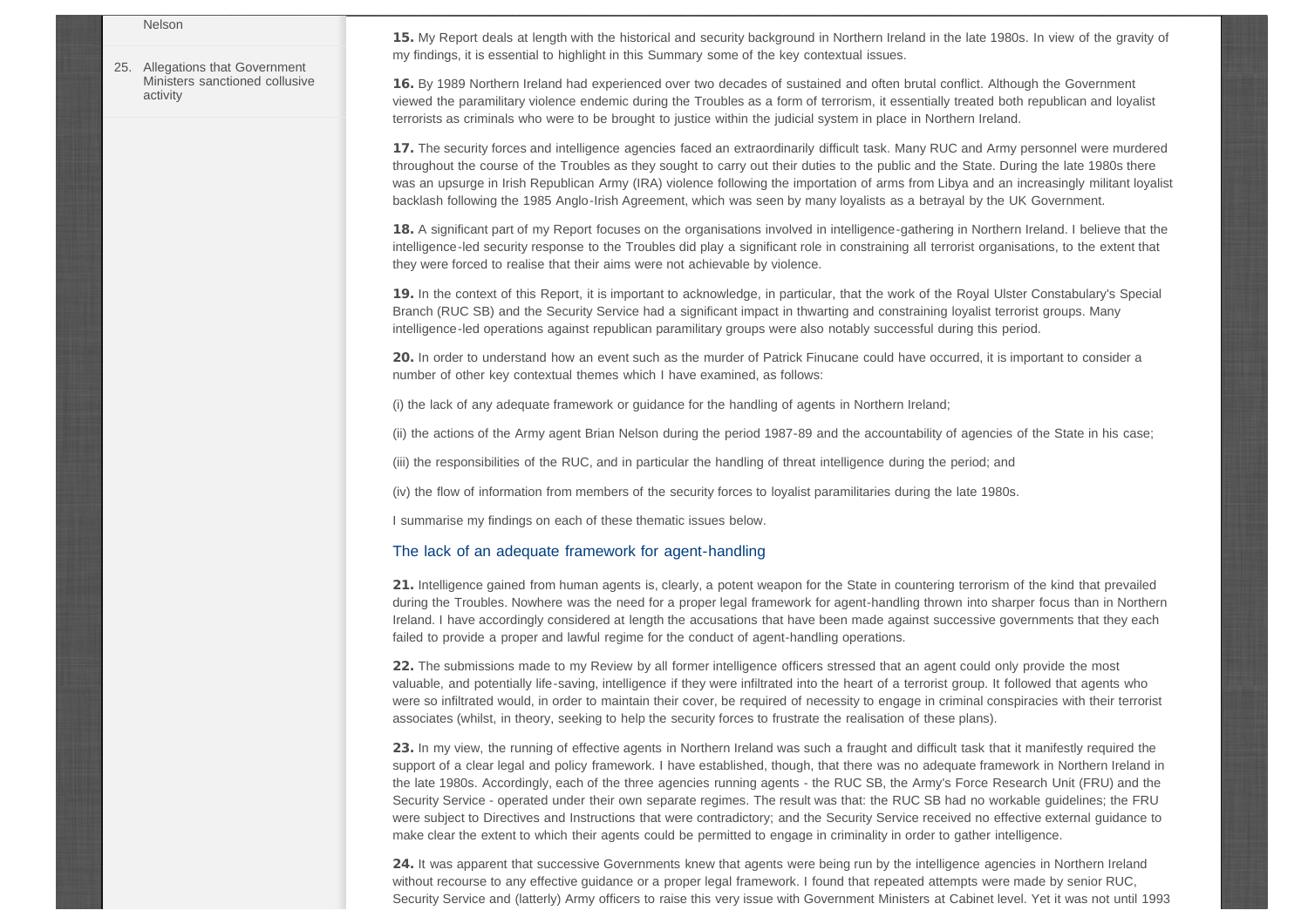#### [Nelson](http://www.patfinucanereview.org/report/volume01/chapter024/)

[25.](http://www.patfinucanereview.org/report/volume01/chapter025/) [Allegations that Government](http://www.patfinucanereview.org/report/volume01/chapter025/) [Ministers sanctioned collusive](http://www.patfinucanereview.org/report/volume01/chapter025/) [activity](http://www.patfinucanereview.org/report/volume01/chapter025/)

15. My Report deals at length with the historical and security background in Northern Ireland in the late 1980s. In view of the gravity of my findings, it is essential to highlight in this Summary some of the key contextual issues.

16. By 1989 Northern Ireland had experienced over two decades of sustained and often brutal conflict. Although the Government viewed the paramilitary violence endemic during the Troubles as a form of terrorism, it essentially treated both republican and loyalist terrorists as criminals who were to be brought to justice within the judicial system in place in Northern Ireland.

17. The security forces and intelligence agencies faced an extraordinarily difficult task. Many RUC and Army personnel were murdered throughout the course of the Troubles as they sought to carry out their duties to the public and the State. During the late 1980s there was an upsurge in Irish Republican Army (IRA) violence following the importation of arms from Libya and an increasingly militant loyalist backlash following the 1985 Anglo-Irish Agreement, which was seen by many loyalists as a betrayal by the UK Government.

18. A significant part of my Report focuses on the organisations involved in intelligence-gathering in Northern Ireland. I believe that the intelligence-led security response to the Troubles did play a significant role in constraining all terrorist organisations, to the extent that they were forced to realise that their aims were not achievable by violence.

19. In the context of this Report, it is important to acknowledge, in particular, that the work of the Royal Ulster Constabulary's Special Branch (RUC SB) and the Security Service had a significant impact in thwarting and constraining loyalist terrorist groups. Many intelligence-led operations against republican paramilitary groups were also notably successful during this period.

20. In order to understand how an event such as the murder of Patrick Finucane could have occurred, it is important to consider a number of other key contextual themes which I have examined, as follows:

(i) the lack of any adequate framework or guidance for the handling of agents in Northern Ireland;

(ii) the actions of the Army agent Brian Nelson during the period 1987-89 and the accountability of agencies of the State in his case;

(iii) the responsibilities of the RUC, and in particular the handling of threat intelligence during the period; and

(iv) the flow of information from members of the security forces to loyalist paramilitaries during the late 1980s.

I summarise my findings on each of these thematic issues below.

#### The lack of an adequate framework for agent-handling

21. Intelligence gained from human agents is, clearly, a potent weapon for the State in countering terrorism of the kind that prevailed during the Troubles. Nowhere was the need for a proper legal framework for agent-handling thrown into sharper focus than in Northern Ireland. I have accordingly considered at length the accusations that have been made against successive governments that they each failed to provide a proper and lawful regime for the conduct of agent-handling operations.

22. The submissions made to my Review by all former intelligence officers stressed that an agent could only provide the most valuable, and potentially life-saving, intelligence if they were infiltrated into the heart of a terrorist group. It followed that agents who were so infiltrated would, in order to maintain their cover, be required of necessity to engage in criminal conspiracies with their terrorist associates (whilst, in theory, seeking to help the security forces to frustrate the realisation of these plans).

23. In my view, the running of effective agents in Northern Ireland was such a fraught and difficult task that it manifestly required the support of a clear legal and policy framework. I have established, though, that there was no adequate framework in Northern Ireland in the late 1980s. Accordingly, each of the three agencies running agents - the RUC SB, the Army's Force Research Unit (FRU) and the Security Service - operated under their own separate regimes. The result was that: the RUC SB had no workable guidelines; the FRU were subject to Directives and Instructions that were contradictory; and the Security Service received no effective external guidance to make clear the extent to which their agents could be permitted to engage in criminality in order to gather intelligence.

24. It was apparent that successive Governments knew that agents were being run by the intelligence agencies in Northern Ireland without recourse to any effective guidance or a proper legal framework. I found that repeated attempts were made by senior RUC, Security Service and (latterly) Army officers to raise this very issue with Government Ministers at Cabinet level. Yet it was not until 1993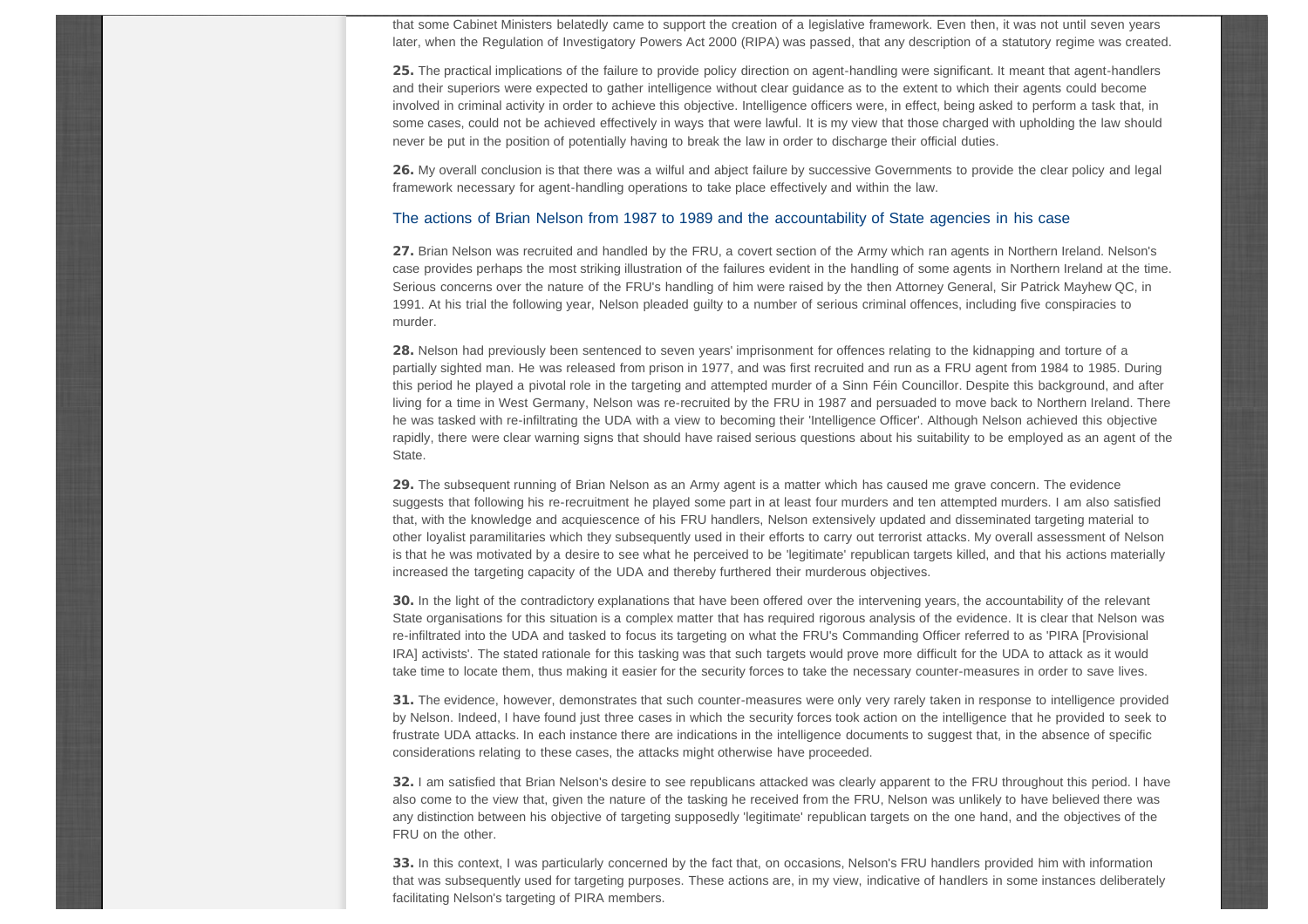that some Cabinet Ministers belatedly came to support the creation of a legislative framework. Even then, it was not until seven years later, when the Regulation of Investigatory Powers Act 2000 (RIPA) was passed, that any description of a statutory regime was created.

25. The practical implications of the failure to provide policy direction on agent-handling were significant. It meant that agent-handlers and their superiors were expected to gather intelligence without clear guidance as to the extent to which their agents could become involved in criminal activity in order to achieve this objective. Intelligence officers were, in effect, being asked to perform a task that, in some cases, could not be achieved effectively in ways that were lawful. It is my view that those charged with upholding the law should never be put in the position of potentially having to break the law in order to discharge their official duties.

26. My overall conclusion is that there was a wilful and abject failure by successive Governments to provide the clear policy and legal framework necessary for agent-handling operations to take place effectively and within the law.

#### The actions of Brian Nelson from 1987 to 1989 and the accountability of State agencies in his case

27. Brian Nelson was recruited and handled by the FRU, a covert section of the Army which ran agents in Northern Ireland. Nelson's case provides perhaps the most striking illustration of the failures evident in the handling of some agents in Northern Ireland at the time. Serious concerns over the nature of the FRU's handling of him were raised by the then Attorney General, Sir Patrick Mayhew QC, in 1991. At his trial the following year, Nelson pleaded guilty to a number of serious criminal offences, including five conspiracies to murder.

28. Nelson had previously been sentenced to seven years' imprisonment for offences relating to the kidnapping and torture of a partially sighted man. He was released from prison in 1977, and was first recruited and run as a FRU agent from 1984 to 1985. During this period he played a pivotal role in the targeting and attempted murder of a Sinn Féin Councillor. Despite this background, and after living for a time in West Germany, Nelson was re-recruited by the FRU in 1987 and persuaded to move back to Northern Ireland. There he was tasked with re-infiltrating the UDA with a view to becoming their 'Intelligence Officer'. Although Nelson achieved this objective rapidly, there were clear warning signs that should have raised serious questions about his suitability to be employed as an agent of the State.

29. The subsequent running of Brian Nelson as an Army agent is a matter which has caused me grave concern. The evidence suggests that following his re-recruitment he played some part in at least four murders and ten attempted murders. I am also satisfied that, with the knowledge and acquiescence of his FRU handlers, Nelson extensively updated and disseminated targeting material to other loyalist paramilitaries which they subsequently used in their efforts to carry out terrorist attacks. My overall assessment of Nelson is that he was motivated by a desire to see what he perceived to be 'legitimate' republican targets killed, and that his actions materially increased the targeting capacity of the UDA and thereby furthered their murderous objectives.

30. In the light of the contradictory explanations that have been offered over the intervening years, the accountability of the relevant State organisations for this situation is a complex matter that has required rigorous analysis of the evidence. It is clear that Nelson was re-infiltrated into the UDA and tasked to focus its targeting on what the FRU's Commanding Officer referred to as 'PIRA [Provisional IRA] activists'. The stated rationale for this tasking was that such targets would prove more difficult for the UDA to attack as it would take time to locate them, thus making it easier for the security forces to take the necessary counter-measures in order to save lives.

31. The evidence, however, demonstrates that such counter-measures were only very rarely taken in response to intelligence provided by Nelson. Indeed, I have found just three cases in which the security forces took action on the intelligence that he provided to seek to frustrate UDA attacks. In each instance there are indications in the intelligence documents to suggest that, in the absence of specific considerations relating to these cases, the attacks might otherwise have proceeded.

32. I am satisfied that Brian Nelson's desire to see republicans attacked was clearly apparent to the FRU throughout this period. I have also come to the view that, given the nature of the tasking he received from the FRU, Nelson was unlikely to have believed there was any distinction between his objective of targeting supposedly 'legitimate' republican targets on the one hand, and the objectives of the FRU on the other.

33. In this context, I was particularly concerned by the fact that, on occasions, Nelson's FRU handlers provided him with information that was subsequently used for targeting purposes. These actions are, in my view, indicative of handlers in some instances deliberately facilitating Nelson's targeting of PIRA members.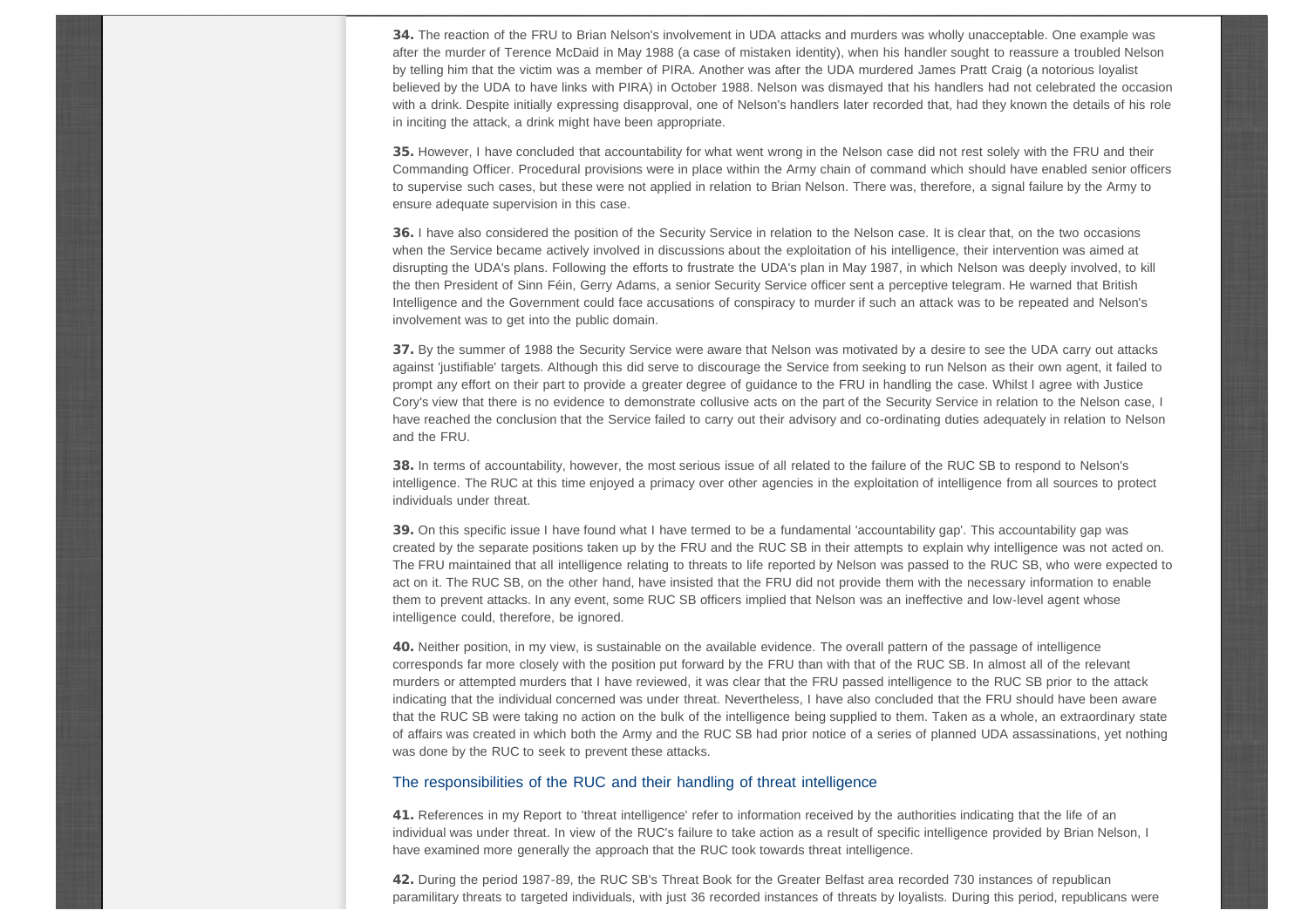34. The reaction of the FRU to Brian Nelson's involvement in UDA attacks and murders was wholly unacceptable. One example was after the murder of Terence McDaid in May 1988 (a case of mistaken identity), when his handler sought to reassure a troubled Nelson by telling him that the victim was a member of PIRA. Another was after the UDA murdered James Pratt Craig (a notorious loyalist believed by the UDA to have links with PIRA) in October 1988. Nelson was dismayed that his handlers had not celebrated the occasion with a drink. Despite initially expressing disapproval, one of Nelson's handlers later recorded that, had they known the details of his role in inciting the attack, a drink might have been appropriate.

35. However, I have concluded that accountability for what went wrong in the Nelson case did not rest solely with the FRU and their Commanding Officer. Procedural provisions were in place within the Army chain of command which should have enabled senior officers to supervise such cases, but these were not applied in relation to Brian Nelson. There was, therefore, a signal failure by the Army to ensure adequate supervision in this case.

36. I have also considered the position of the Security Service in relation to the Nelson case. It is clear that, on the two occasions when the Service became actively involved in discussions about the exploitation of his intelligence, their intervention was aimed at disrupting the UDA's plans. Following the efforts to frustrate the UDA's plan in May 1987, in which Nelson was deeply involved, to kill the then President of Sinn Féin, Gerry Adams, a senior Security Service officer sent a perceptive telegram. He warned that British Intelligence and the Government could face accusations of conspiracy to murder if such an attack was to be repeated and Nelson's involvement was to get into the public domain.

37. By the summer of 1988 the Security Service were aware that Nelson was motivated by a desire to see the UDA carry out attacks against 'justifiable' targets. Although this did serve to discourage the Service from seeking to run Nelson as their own agent, it failed to prompt any effort on their part to provide a greater degree of guidance to the FRU in handling the case. Whilst I agree with Justice Cory's view that there is no evidence to demonstrate collusive acts on the part of the Security Service in relation to the Nelson case, I have reached the conclusion that the Service failed to carry out their advisory and co-ordinating duties adequately in relation to Nelson and the FRU.

38. In terms of accountability, however, the most serious issue of all related to the failure of the RUC SB to respond to Nelson's intelligence. The RUC at this time enjoyed a primacy over other agencies in the exploitation of intelligence from all sources to protect individuals under threat.

39. On this specific issue I have found what I have termed to be a fundamental 'accountability gap'. This accountability gap was created by the separate positions taken up by the FRU and the RUC SB in their attempts to explain why intelligence was not acted on. The FRU maintained that all intelligence relating to threats to life reported by Nelson was passed to the RUC SB, who were expected to act on it. The RUC SB, on the other hand, have insisted that the FRU did not provide them with the necessary information to enable them to prevent attacks. In any event, some RUC SB officers implied that Nelson was an ineffective and low-level agent whose intelligence could, therefore, be ignored.

40. Neither position, in my view, is sustainable on the available evidence. The overall pattern of the passage of intelligence corresponds far more closely with the position put forward by the FRU than with that of the RUC SB. In almost all of the relevant murders or attempted murders that I have reviewed, it was clear that the FRU passed intelligence to the RUC SB prior to the attack indicating that the individual concerned was under threat. Nevertheless, I have also concluded that the FRU should have been aware that the RUC SB were taking no action on the bulk of the intelligence being supplied to them. Taken as a whole, an extraordinary state of affairs was created in which both the Army and the RUC SB had prior notice of a series of planned UDA assassinations, yet nothing was done by the RUC to seek to prevent these attacks.

#### The responsibilities of the RUC and their handling of threat intelligence

41. References in my Report to 'threat intelligence' refer to information received by the authorities indicating that the life of an individual was under threat. In view of the RUC's failure to take action as a result of specific intelligence provided by Brian Nelson, I have examined more generally the approach that the RUC took towards threat intelligence.

42. During the period 1987-89, the RUC SB's Threat Book for the Greater Belfast area recorded 730 instances of republican paramilitary threats to targeted individuals, with just 36 recorded instances of threats by loyalists. During this period, republicans were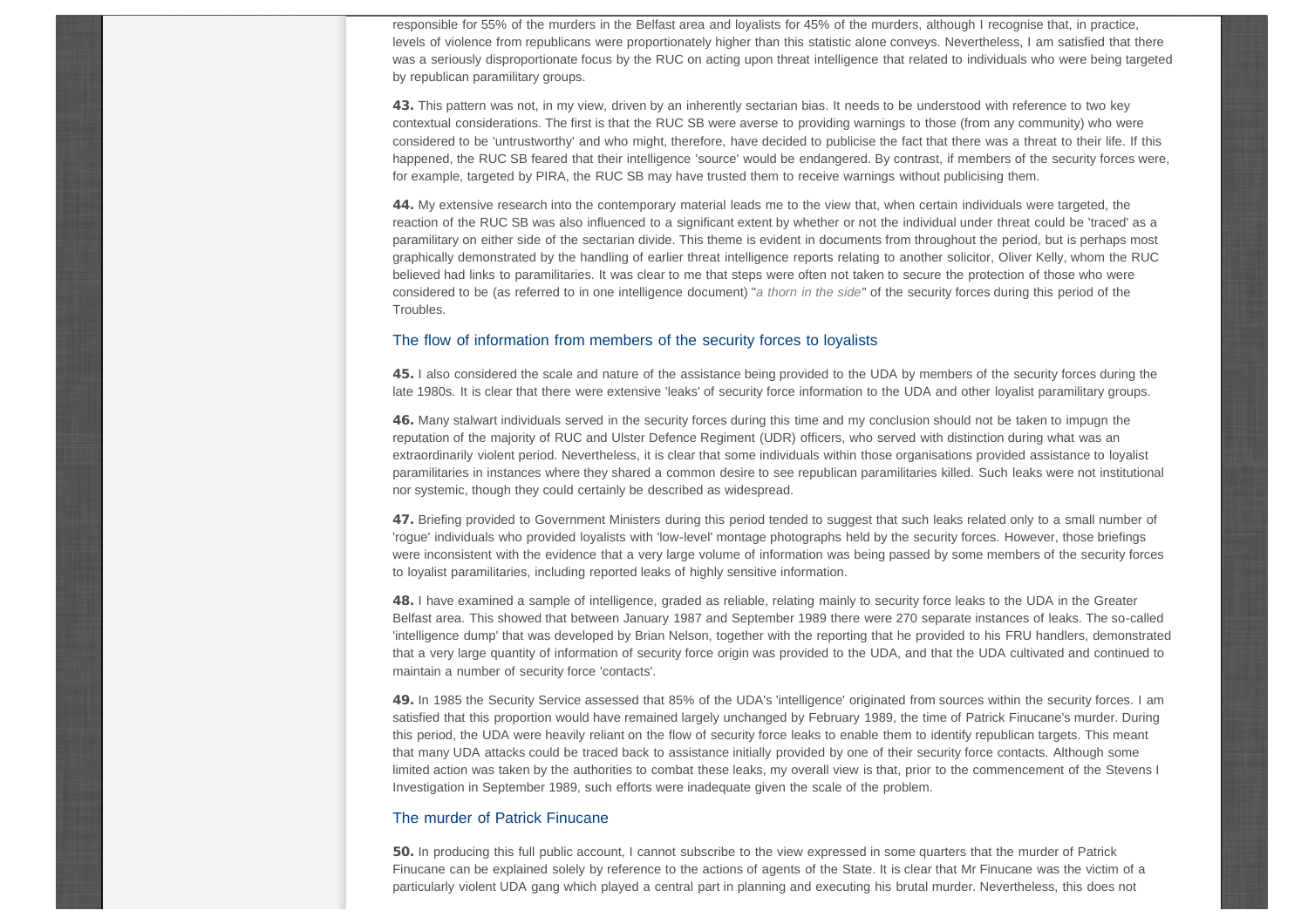responsible for 55% of the murders in the Belfast area and loyalists for 45% of the murders, although I recognise that, in practice, levels of violence from republicans were proportionately higher than this statistic alone conveys. Nevertheless, I am satisfied that there was a seriously disproportionate focus by the RUC on acting upon threat intelligence that related to individuals who were being targeted by republican paramilitary groups.

43. This pattern was not, in my view, driven by an inherently sectarian bias. It needs to be understood with reference to two key contextual considerations. The first is that the RUC SB were averse to providing warnings to those (from any community) who were considered to be 'untrustworthy' and who might, therefore, have decided to publicise the fact that there was a threat to their life. If this happened, the RUC SB feared that their intelligence 'source' would be endangered. By contrast, if members of the security forces were, for example, targeted by PIRA, the RUC SB may have trusted them to receive warnings without publicising them.

44. My extensive research into the contemporary material leads me to the view that, when certain individuals were targeted, the reaction of the RUC SB was also influenced to a significant extent by whether or not the individual under threat could be 'traced' as a paramilitary on either side of the sectarian divide. This theme is evident in documents from throughout the period, but is perhaps most graphically demonstrated by the handling of earlier threat intelligence reports relating to another solicitor, Oliver Kelly, whom the RUC believed had links to paramilitaries. It was clear to me that steps were often not taken to secure the protection of those who were considered to be (as referred to in one intelligence document) "*a thorn in the side*" of the security forces during this period of the Troubles.

#### The flow of information from members of the security forces to loyalists

45. I also considered the scale and nature of the assistance being provided to the UDA by members of the security forces during the late 1980s. It is clear that there were extensive 'leaks' of security force information to the UDA and other loyalist paramilitary groups.

46. Many stalwart individuals served in the security forces during this time and my conclusion should not be taken to impugn the reputation of the majority of RUC and Ulster Defence Regiment (UDR) officers, who served with distinction during what was an extraordinarily violent period. Nevertheless, it is clear that some individuals within those organisations provided assistance to loyalist paramilitaries in instances where they shared a common desire to see republican paramilitaries killed. Such leaks were not institutional nor systemic, though they could certainly be described as widespread.

47. Briefing provided to Government Ministers during this period tended to suggest that such leaks related only to a small number of 'rogue' individuals who provided loyalists with 'low-level' montage photographs held by the security forces. However, those briefings were inconsistent with the evidence that a very large volume of information was being passed by some members of the security forces to loyalist paramilitaries, including reported leaks of highly sensitive information.

48. I have examined a sample of intelligence, graded as reliable, relating mainly to security force leaks to the UDA in the Greater Belfast area. This showed that between January 1987 and September 1989 there were 270 separate instances of leaks. The so-called 'intelligence dump' that was developed by Brian Nelson, together with the reporting that he provided to his FRU handlers, demonstrated that a very large quantity of information of security force origin was provided to the UDA, and that the UDA cultivated and continued to maintain a number of security force 'contacts'.

49. In 1985 the Security Service assessed that 85% of the UDA's 'intelligence' originated from sources within the security forces. I am satisfied that this proportion would have remained largely unchanged by February 1989, the time of Patrick Finucane's murder. During this period, the UDA were heavily reliant on the flow of security force leaks to enable them to identify republican targets. This meant that many UDA attacks could be traced back to assistance initially provided by one of their security force contacts. Although some limited action was taken by the authorities to combat these leaks, my overall view is that, prior to the commencement of the Stevens I Investigation in September 1989, such efforts were inadequate given the scale of the problem.

#### The murder of Patrick Finucane

50. In producing this full public account, I cannot subscribe to the view expressed in some quarters that the murder of Patrick Finucane can be explained solely by reference to the actions of agents of the State. It is clear that Mr Finucane was the victim of a particularly violent UDA gang which played a central part in planning and executing his brutal murder. Nevertheless, this does not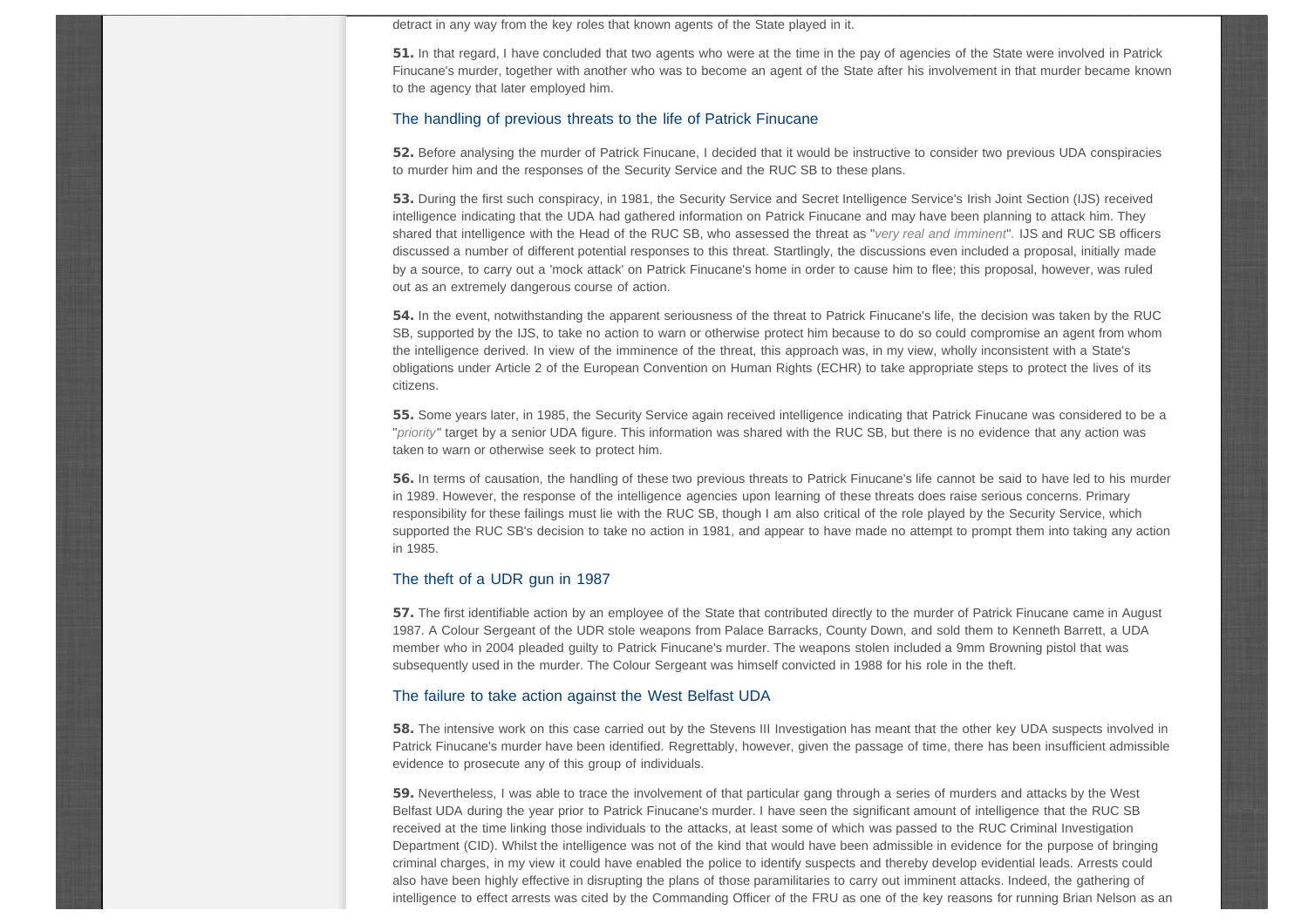detract in any way from the key roles that known agents of the State played in it.

51. In that regard, I have concluded that two agents who were at the time in the pay of agencies of the State were involved in Patrick Finucane's murder, together with another who was to become an agent of the State after his involvement in that murder became known to the agency that later employed him.

#### The handling of previous threats to the life of Patrick Finucane

52. Before analysing the murder of Patrick Finucane, I decided that it would be instructive to consider two previous UDA conspiracies to murder him and the responses of the Security Service and the RUC SB to these plans.

53. During the first such conspiracy, in 1981, the Security Service and Secret Intelligence Service's Irish Joint Section (IJS) received intelligence indicating that the UDA had gathered information on Patrick Finucane and may have been planning to attack him. They shared that intelligence with the Head of the RUC SB, who assessed the threat as "*very real and imminent*"*.* IJS and RUC SB officers discussed a number of different potential responses to this threat. Startlingly, the discussions even included a proposal, initially made by a source, to carry out a 'mock attack' on Patrick Finucane's home in order to cause him to flee; this proposal, however, was ruled out as an extremely dangerous course of action.

54. In the event, notwithstanding the apparent seriousness of the threat to Patrick Finucane's life, the decision was taken by the RUC SB, supported by the IJS, to take no action to warn or otherwise protect him because to do so could compromise an agent from whom the intelligence derived. In view of the imminence of the threat, this approach was, in my view, wholly inconsistent with a State's obligations under Article 2 of the European Convention on Human Rights (ECHR) to take appropriate steps to protect the lives of its citizens.

55. Some years later, in 1985, the Security Service again received intelligence indicating that Patrick Finucane was considered to be a "*priority*" target by a senior UDA figure. This information was shared with the RUC SB, but there is no evidence that any action was taken to warn or otherwise seek to protect him.

56. In terms of causation, the handling of these two previous threats to Patrick Finucane's life cannot be said to have led to his murder in 1989. However, the response of the intelligence agencies upon learning of these threats does raise serious concerns. Primary responsibility for these failings must lie with the RUC SB, though I am also critical of the role played by the Security Service, which supported the RUC SB's decision to take no action in 1981, and appear to have made no attempt to prompt them into taking any action in 1985.

### The theft of a UDR gun in 1987

57. The first identifiable action by an employee of the State that contributed directly to the murder of Patrick Finucane came in August 1987. A Colour Sergeant of the UDR stole weapons from Palace Barracks, County Down, and sold them to Kenneth Barrett, a UDA member who in 2004 pleaded guilty to Patrick Finucane's murder. The weapons stolen included a 9mm Browning pistol that was subsequently used in the murder. The Colour Sergeant was himself convicted in 1988 for his role in the theft.

#### The failure to take action against the West Belfast UDA

58. The intensive work on this case carried out by the Stevens III Investigation has meant that the other key UDA suspects involved in Patrick Finucane's murder have been identified. Regrettably, however, given the passage of time, there has been insufficient admissible evidence to prosecute any of this group of individuals.

59. Nevertheless, I was able to trace the involvement of that particular gang through a series of murders and attacks by the West Belfast UDA during the year prior to Patrick Finucane's murder. I have seen the significant amount of intelligence that the RUC SB received at the time linking those individuals to the attacks, at least some of which was passed to the RUC Criminal Investigation Department (CID). Whilst the intelligence was not of the kind that would have been admissible in evidence for the purpose of bringing criminal charges, in my view it could have enabled the police to identify suspects and thereby develop evidential leads. Arrests could also have been highly effective in disrupting the plans of those paramilitaries to carry out imminent attacks. Indeed, the gathering of intelligence to effect arrests was cited by the Commanding Officer of the FRU as one of the key reasons for running Brian Nelson as an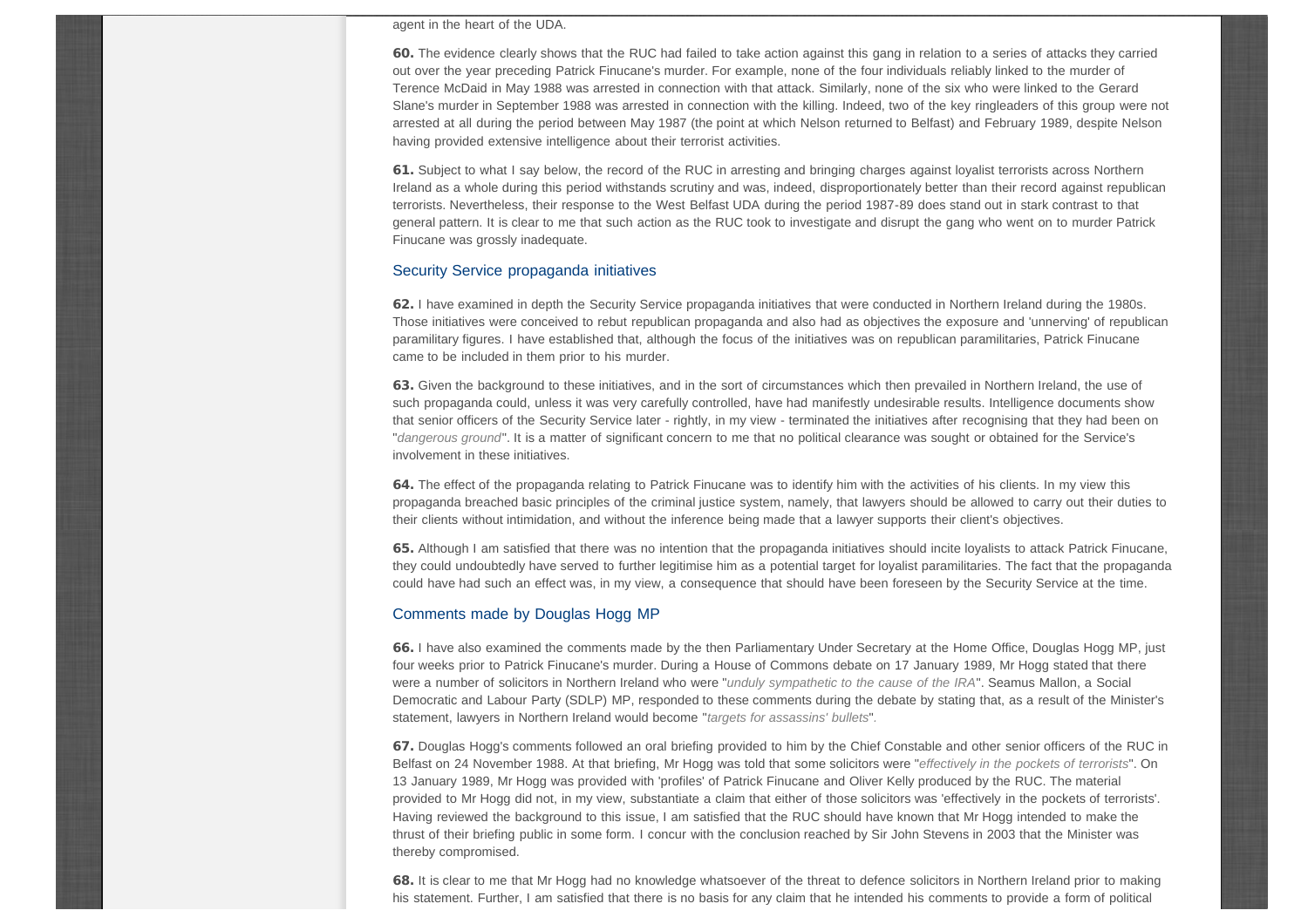#### agent in the heart of the UDA.

60. The evidence clearly shows that the RUC had failed to take action against this gang in relation to a series of attacks they carried out over the year preceding Patrick Finucane's murder. For example, none of the four individuals reliably linked to the murder of Terence McDaid in May 1988 was arrested in connection with that attack. Similarly, none of the six who were linked to the Gerard Slane's murder in September 1988 was arrested in connection with the killing. Indeed, two of the key ringleaders of this group were not arrested at all during the period between May 1987 (the point at which Nelson returned to Belfast) and February 1989, despite Nelson having provided extensive intelligence about their terrorist activities.

61. Subject to what I say below, the record of the RUC in arresting and bringing charges against loyalist terrorists across Northern Ireland as a whole during this period withstands scrutiny and was, indeed, disproportionately better than their record against republican terrorists. Nevertheless, their response to the West Belfast UDA during the period 1987-89 does stand out in stark contrast to that general pattern. It is clear to me that such action as the RUC took to investigate and disrupt the gang who went on to murder Patrick Finucane was grossly inadequate.

#### Security Service propaganda initiatives

62. I have examined in depth the Security Service propaganda initiatives that were conducted in Northern Ireland during the 1980s. Those initiatives were conceived to rebut republican propaganda and also had as objectives the exposure and 'unnerving' of republican paramilitary figures. I have established that, although the focus of the initiatives was on republican paramilitaries, Patrick Finucane came to be included in them prior to his murder.

63. Given the background to these initiatives, and in the sort of circumstances which then prevailed in Northern Ireland, the use of such propaganda could, unless it was very carefully controlled, have had manifestly undesirable results. Intelligence documents show that senior officers of the Security Service later - rightly, in my view - terminated the initiatives after recognising that they had been on "*dangerous ground*". It is a matter of significant concern to me that no political clearance was sought or obtained for the Service's involvement in these initiatives.

64. The effect of the propaganda relating to Patrick Finucane was to identify him with the activities of his clients. In my view this propaganda breached basic principles of the criminal justice system, namely, that lawyers should be allowed to carry out their duties to their clients without intimidation, and without the inference being made that a lawyer supports their client's objectives.

65. Although I am satisfied that there was no intention that the propaganda initiatives should incite loyalists to attack Patrick Finucane, they could undoubtedly have served to further legitimise him as a potential target for loyalist paramilitaries. The fact that the propaganda could have had such an effect was, in my view, a consequence that should have been foreseen by the Security Service at the time.

#### Comments made by Douglas Hogg MP

66. I have also examined the comments made by the then Parliamentary Under Secretary at the Home Office, Douglas Hogg MP, just four weeks prior to Patrick Finucane's murder. During a House of Commons debate on 17 January 1989, Mr Hogg stated that there were a number of solicitors in Northern Ireland who were "*unduly sympathetic to the cause of the IRA*". Seamus Mallon, a Social Democratic and Labour Party (SDLP) MP, responded to these comments during the debate by stating that, as a result of the Minister's statement, lawyers in Northern Ireland would become "*targets for assassins' bullets*"*.*

67. Douglas Hogg's comments followed an oral briefing provided to him by the Chief Constable and other senior officers of the RUC in Belfast on 24 November 1988. At that briefing, Mr Hogg was told that some solicitors were "*effectively in the pockets of terrorists*". On 13 January 1989, Mr Hogg was provided with 'profiles' of Patrick Finucane and Oliver Kelly produced by the RUC. The material provided to Mr Hogg did not, in my view, substantiate a claim that either of those solicitors was 'effectively in the pockets of terrorists'. Having reviewed the background to this issue, I am satisfied that the RUC should have known that Mr Hogg intended to make the thrust of their briefing public in some form. I concur with the conclusion reached by Sir John Stevens in 2003 that the Minister was thereby compromised.

68. It is clear to me that Mr Hogg had no knowledge whatsoever of the threat to defence solicitors in Northern Ireland prior to making his statement. Further, I am satisfied that there is no basis for any claim that he intended his comments to provide a form of political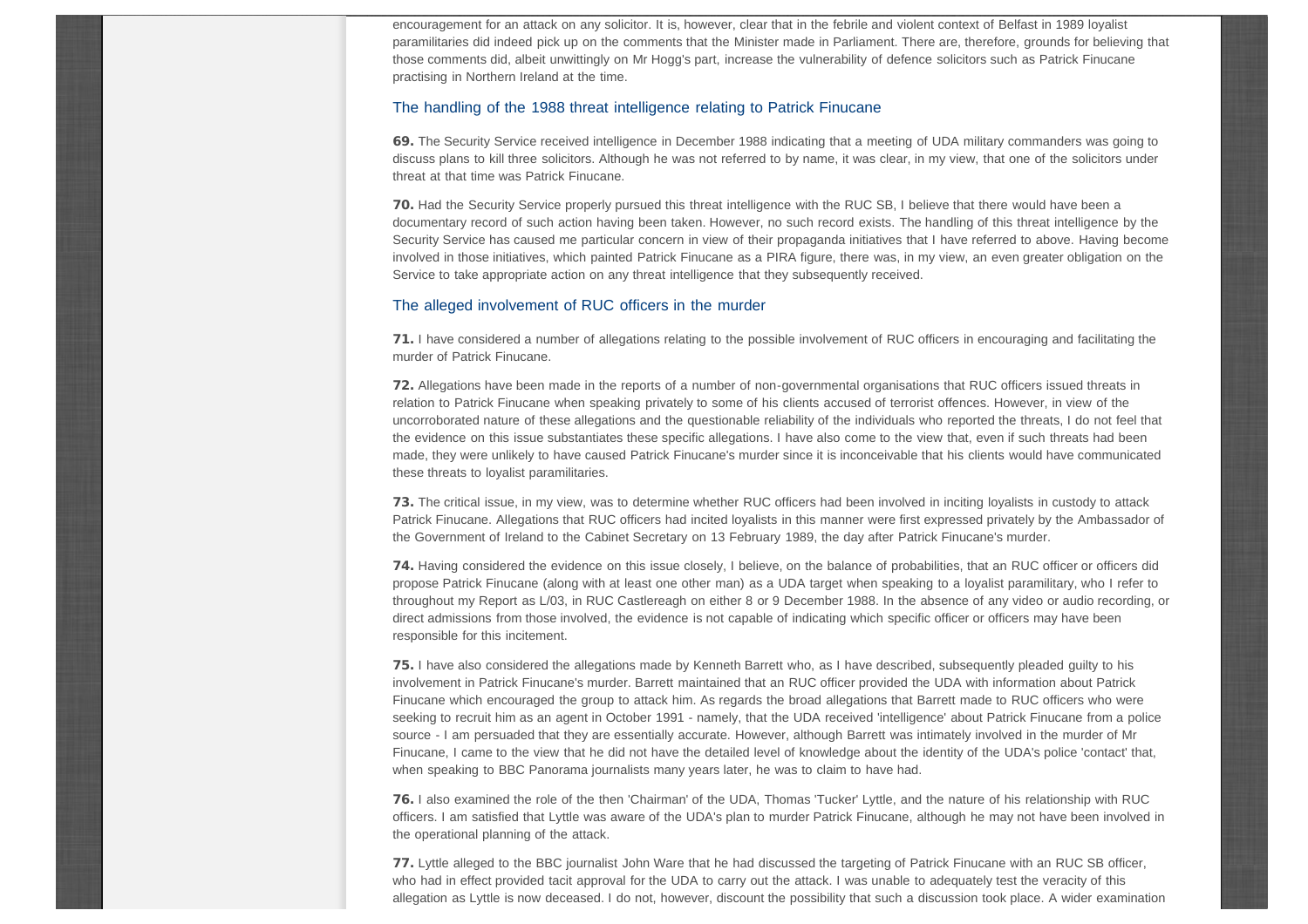encouragement for an attack on any solicitor. It is, however, clear that in the febrile and violent context of Belfast in 1989 loyalist paramilitaries did indeed pick up on the comments that the Minister made in Parliament. There are, therefore, grounds for believing that those comments did, albeit unwittingly on Mr Hogg's part, increase the vulnerability of defence solicitors such as Patrick Finucane practising in Northern Ireland at the time.

#### The handling of the 1988 threat intelligence relating to Patrick Finucane

69. The Security Service received intelligence in December 1988 indicating that a meeting of UDA military commanders was going to discuss plans to kill three solicitors. Although he was not referred to by name, it was clear, in my view, that one of the solicitors under threat at that time was Patrick Finucane.

70. Had the Security Service properly pursued this threat intelligence with the RUC SB, I believe that there would have been a documentary record of such action having been taken. However, no such record exists. The handling of this threat intelligence by the Security Service has caused me particular concern in view of their propaganda initiatives that I have referred to above. Having become involved in those initiatives, which painted Patrick Finucane as a PIRA figure, there was, in my view, an even greater obligation on the Service to take appropriate action on any threat intelligence that they subsequently received.

#### The alleged involvement of RUC officers in the murder

71. I have considered a number of allegations relating to the possible involvement of RUC officers in encouraging and facilitating the murder of Patrick Finucane.

72. Allegations have been made in the reports of a number of non-governmental organisations that RUC officers issued threats in relation to Patrick Finucane when speaking privately to some of his clients accused of terrorist offences. However, in view of the uncorroborated nature of these allegations and the questionable reliability of the individuals who reported the threats, I do not feel that the evidence on this issue substantiates these specific allegations. I have also come to the view that, even if such threats had been made, they were unlikely to have caused Patrick Finucane's murder since it is inconceivable that his clients would have communicated these threats to loyalist paramilitaries.

73. The critical issue, in my view, was to determine whether RUC officers had been involved in inciting loyalists in custody to attack Patrick Finucane. Allegations that RUC officers had incited loyalists in this manner were first expressed privately by the Ambassador of the Government of Ireland to the Cabinet Secretary on 13 February 1989, the day after Patrick Finucane's murder.

74. Having considered the evidence on this issue closely, I believe, on the balance of probabilities, that an RUC officer or officers did propose Patrick Finucane (along with at least one other man) as a UDA target when speaking to a loyalist paramilitary, who I refer to throughout my Report as L/03, in RUC Castlereagh on either 8 or 9 December 1988. In the absence of any video or audio recording, or direct admissions from those involved, the evidence is not capable of indicating which specific officer or officers may have been responsible for this incitement.

75. I have also considered the allegations made by Kenneth Barrett who, as I have described, subsequently pleaded guilty to his involvement in Patrick Finucane's murder. Barrett maintained that an RUC officer provided the UDA with information about Patrick Finucane which encouraged the group to attack him. As regards the broad allegations that Barrett made to RUC officers who were seeking to recruit him as an agent in October 1991 - namely, that the UDA received 'intelligence' about Patrick Finucane from a police source - I am persuaded that they are essentially accurate. However, although Barrett was intimately involved in the murder of Mr Finucane, I came to the view that he did not have the detailed level of knowledge about the identity of the UDA's police 'contact' that, when speaking to BBC Panorama journalists many years later, he was to claim to have had.

76. I also examined the role of the then 'Chairman' of the UDA, Thomas 'Tucker' Lyttle, and the nature of his relationship with RUC officers. I am satisfied that Lyttle was aware of the UDA's plan to murder Patrick Finucane, although he may not have been involved in the operational planning of the attack.

77. Lyttle alleged to the BBC journalist John Ware that he had discussed the targeting of Patrick Finucane with an RUC SB officer, who had in effect provided tacit approval for the UDA to carry out the attack. I was unable to adequately test the veracity of this allegation as Lyttle is now deceased. I do not, however, discount the possibility that such a discussion took place. A wider examination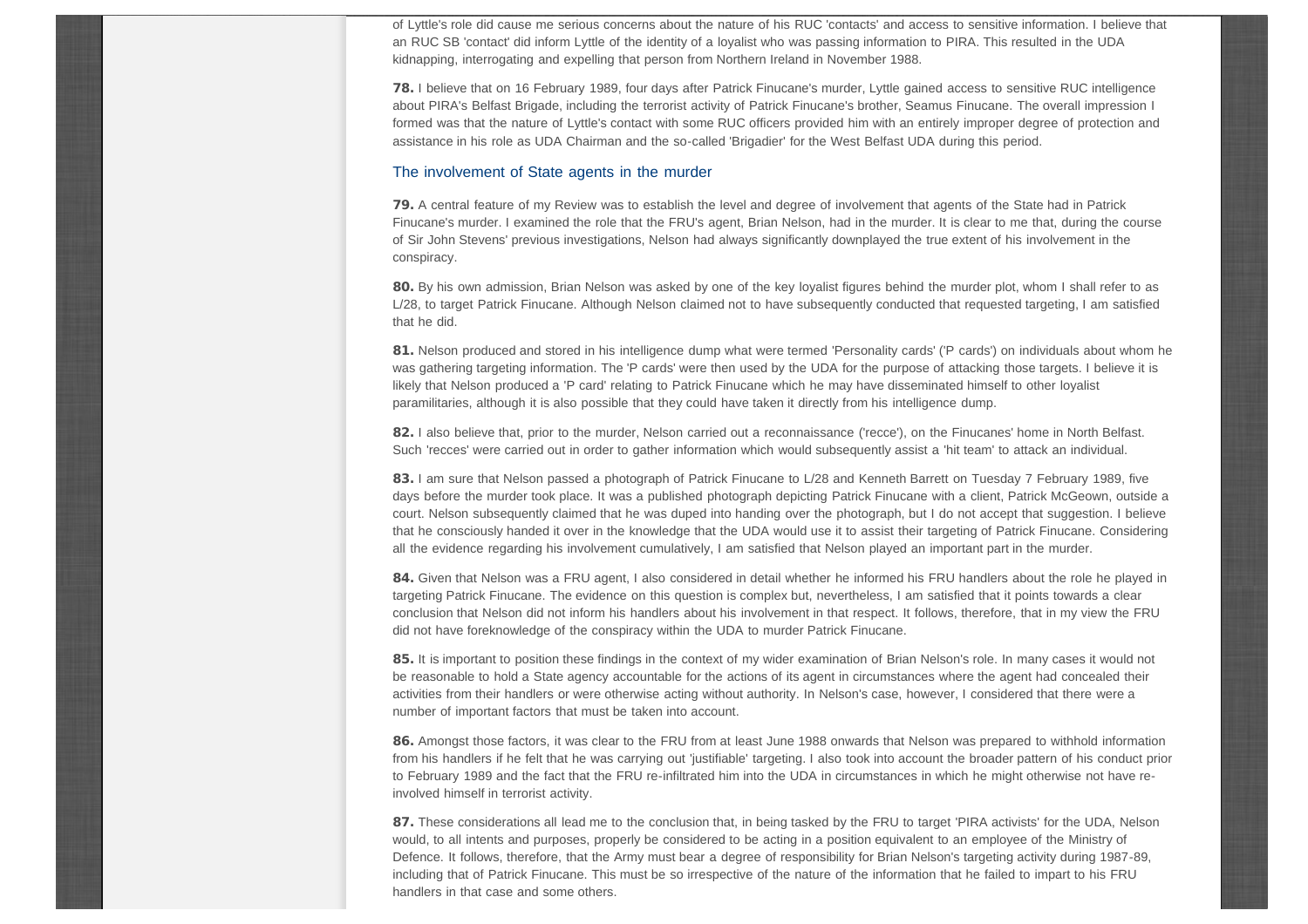of Lyttle's role did cause me serious concerns about the nature of his RUC 'contacts' and access to sensitive information. I believe that an RUC SB 'contact' did inform Lyttle of the identity of a loyalist who was passing information to PIRA. This resulted in the UDA kidnapping, interrogating and expelling that person from Northern Ireland in November 1988.

78. I believe that on 16 February 1989, four days after Patrick Finucane's murder, Lyttle gained access to sensitive RUC intelligence about PIRA's Belfast Brigade, including the terrorist activity of Patrick Finucane's brother, Seamus Finucane. The overall impression I formed was that the nature of Lyttle's contact with some RUC officers provided him with an entirely improper degree of protection and assistance in his role as UDA Chairman and the so-called 'Brigadier' for the West Belfast UDA during this period.

#### The involvement of State agents in the murder

79. A central feature of my Review was to establish the level and degree of involvement that agents of the State had in Patrick Finucane's murder. I examined the role that the FRU's agent, Brian Nelson, had in the murder. It is clear to me that, during the course of Sir John Stevens' previous investigations, Nelson had always significantly downplayed the true extent of his involvement in the conspiracy.

80. By his own admission, Brian Nelson was asked by one of the key loyalist figures behind the murder plot, whom I shall refer to as L/28, to target Patrick Finucane. Although Nelson claimed not to have subsequently conducted that requested targeting, I am satisfied that he did.

81. Nelson produced and stored in his intelligence dump what were termed 'Personality cards' ('P cards') on individuals about whom he was gathering targeting information. The 'P cards' were then used by the UDA for the purpose of attacking those targets. I believe it is likely that Nelson produced a 'P card' relating to Patrick Finucane which he may have disseminated himself to other loyalist paramilitaries, although it is also possible that they could have taken it directly from his intelligence dump.

82. I also believe that, prior to the murder, Nelson carried out a reconnaissance ('recce'), on the Finucanes' home in North Belfast. Such 'recces' were carried out in order to gather information which would subsequently assist a 'hit team' to attack an individual.

83. I am sure that Nelson passed a photograph of Patrick Finucane to L/28 and Kenneth Barrett on Tuesday 7 February 1989, five days before the murder took place. It was a published photograph depicting Patrick Finucane with a client, Patrick McGeown, outside a court. Nelson subsequently claimed that he was duped into handing over the photograph, but I do not accept that suggestion. I believe that he consciously handed it over in the knowledge that the UDA would use it to assist their targeting of Patrick Finucane. Considering all the evidence regarding his involvement cumulatively, I am satisfied that Nelson played an important part in the murder.

84. Given that Nelson was a FRU agent, I also considered in detail whether he informed his FRU handlers about the role he played in targeting Patrick Finucane. The evidence on this question is complex but, nevertheless, I am satisfied that it points towards a clear conclusion that Nelson did not inform his handlers about his involvement in that respect. It follows, therefore, that in my view the FRU did not have foreknowledge of the conspiracy within the UDA to murder Patrick Finucane.

85. It is important to position these findings in the context of my wider examination of Brian Nelson's role. In many cases it would not be reasonable to hold a State agency accountable for the actions of its agent in circumstances where the agent had concealed their activities from their handlers or were otherwise acting without authority. In Nelson's case, however, I considered that there were a number of important factors that must be taken into account.

86. Amongst those factors, it was clear to the FRU from at least June 1988 onwards that Nelson was prepared to withhold information from his handlers if he felt that he was carrying out 'justifiable' targeting. I also took into account the broader pattern of his conduct prior to February 1989 and the fact that the FRU re-infiltrated him into the UDA in circumstances in which he might otherwise not have reinvolved himself in terrorist activity.

87. These considerations all lead me to the conclusion that, in being tasked by the FRU to target 'PIRA activists' for the UDA, Nelson would, to all intents and purposes, properly be considered to be acting in a position equivalent to an employee of the Ministry of Defence. It follows, therefore, that the Army must bear a degree of responsibility for Brian Nelson's targeting activity during 1987-89, including that of Patrick Finucane. This must be so irrespective of the nature of the information that he failed to impart to his FRU handlers in that case and some others.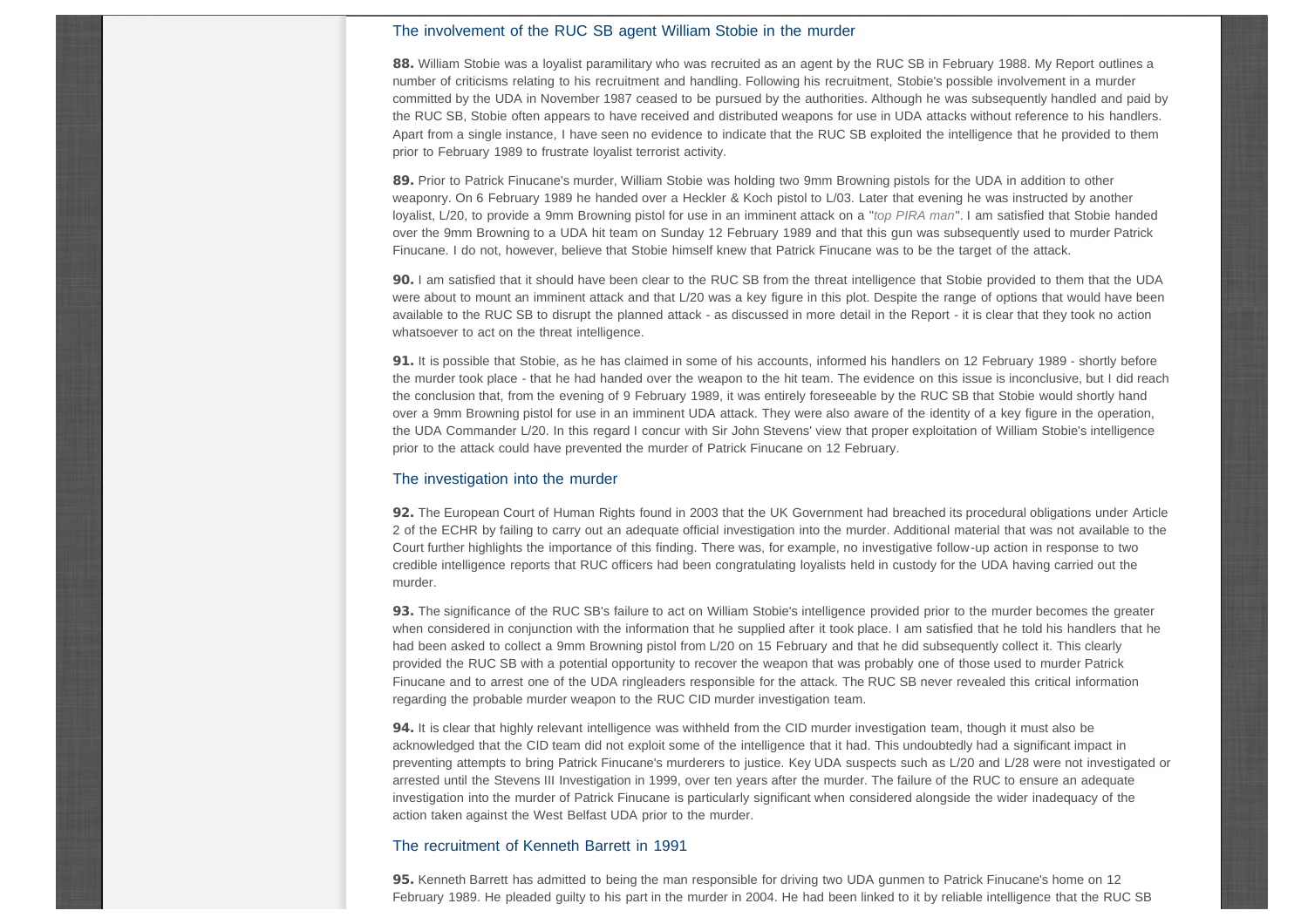## The involvement of the RUC SB agent William Stobie in the murder

88. William Stobie was a loyalist paramilitary who was recruited as an agent by the RUC SB in February 1988. My Report outlines a number of criticisms relating to his recruitment and handling. Following his recruitment, Stobie's possible involvement in a murder committed by the UDA in November 1987 ceased to be pursued by the authorities. Although he was subsequently handled and paid by the RUC SB, Stobie often appears to have received and distributed weapons for use in UDA attacks without reference to his handlers. Apart from a single instance, I have seen no evidence to indicate that the RUC SB exploited the intelligence that he provided to them prior to February 1989 to frustrate loyalist terrorist activity.

89. Prior to Patrick Finucane's murder, William Stobie was holding two 9mm Browning pistols for the UDA in addition to other weaponry. On 6 February 1989 he handed over a Heckler & Koch pistol to L/03. Later that evening he was instructed by another loyalist, L/20, to provide a 9mm Browning pistol for use in an imminent attack on a "*top PIRA man*". I am satisfied that Stobie handed over the 9mm Browning to a UDA hit team on Sunday 12 February 1989 and that this gun was subsequently used to murder Patrick Finucane. I do not, however, believe that Stobie himself knew that Patrick Finucane was to be the target of the attack.

90. I am satisfied that it should have been clear to the RUC SB from the threat intelligence that Stobie provided to them that the UDA were about to mount an imminent attack and that L/20 was a key figure in this plot. Despite the range of options that would have been available to the RUC SB to disrupt the planned attack - as discussed in more detail in the Report - it is clear that they took no action whatsoever to act on the threat intelligence.

91. It is possible that Stobie, as he has claimed in some of his accounts, informed his handlers on 12 February 1989 - shortly before the murder took place - that he had handed over the weapon to the hit team. The evidence on this issue is inconclusive, but I did reach the conclusion that, from the evening of 9 February 1989, it was entirely foreseeable by the RUC SB that Stobie would shortly hand over a 9mm Browning pistol for use in an imminent UDA attack. They were also aware of the identity of a key figure in the operation, the UDA Commander L/20. In this regard I concur with Sir John Stevens' view that proper exploitation of William Stobie's intelligence prior to the attack could have prevented the murder of Patrick Finucane on 12 February.

#### The investigation into the murder

92. The European Court of Human Rights found in 2003 that the UK Government had breached its procedural obligations under Article 2 of the ECHR by failing to carry out an adequate official investigation into the murder. Additional material that was not available to the Court further highlights the importance of this finding. There was, for example, no investigative follow-up action in response to two credible intelligence reports that RUC officers had been congratulating loyalists held in custody for the UDA having carried out the murder.

93. The significance of the RUC SB's failure to act on William Stobie's intelligence provided prior to the murder becomes the greater when considered in conjunction with the information that he supplied after it took place. I am satisfied that he told his handlers that he had been asked to collect a 9mm Browning pistol from L/20 on 15 February and that he did subsequently collect it. This clearly provided the RUC SB with a potential opportunity to recover the weapon that was probably one of those used to murder Patrick Finucane and to arrest one of the UDA ringleaders responsible for the attack. The RUC SB never revealed this critical information regarding the probable murder weapon to the RUC CID murder investigation team.

94. It is clear that highly relevant intelligence was withheld from the CID murder investigation team, though it must also be acknowledged that the CID team did not exploit some of the intelligence that it had. This undoubtedly had a significant impact in preventing attempts to bring Patrick Finucane's murderers to justice. Key UDA suspects such as L/20 and L/28 were not investigated or arrested until the Stevens III Investigation in 1999, over ten years after the murder. The failure of the RUC to ensure an adequate investigation into the murder of Patrick Finucane is particularly significant when considered alongside the wider inadequacy of the action taken against the West Belfast UDA prior to the murder.

#### The recruitment of Kenneth Barrett in 1991

95. Kenneth Barrett has admitted to being the man responsible for driving two UDA gunmen to Patrick Finucane's home on 12 February 1989. He pleaded guilty to his part in the murder in 2004. He had been linked to it by reliable intelligence that the RUC SB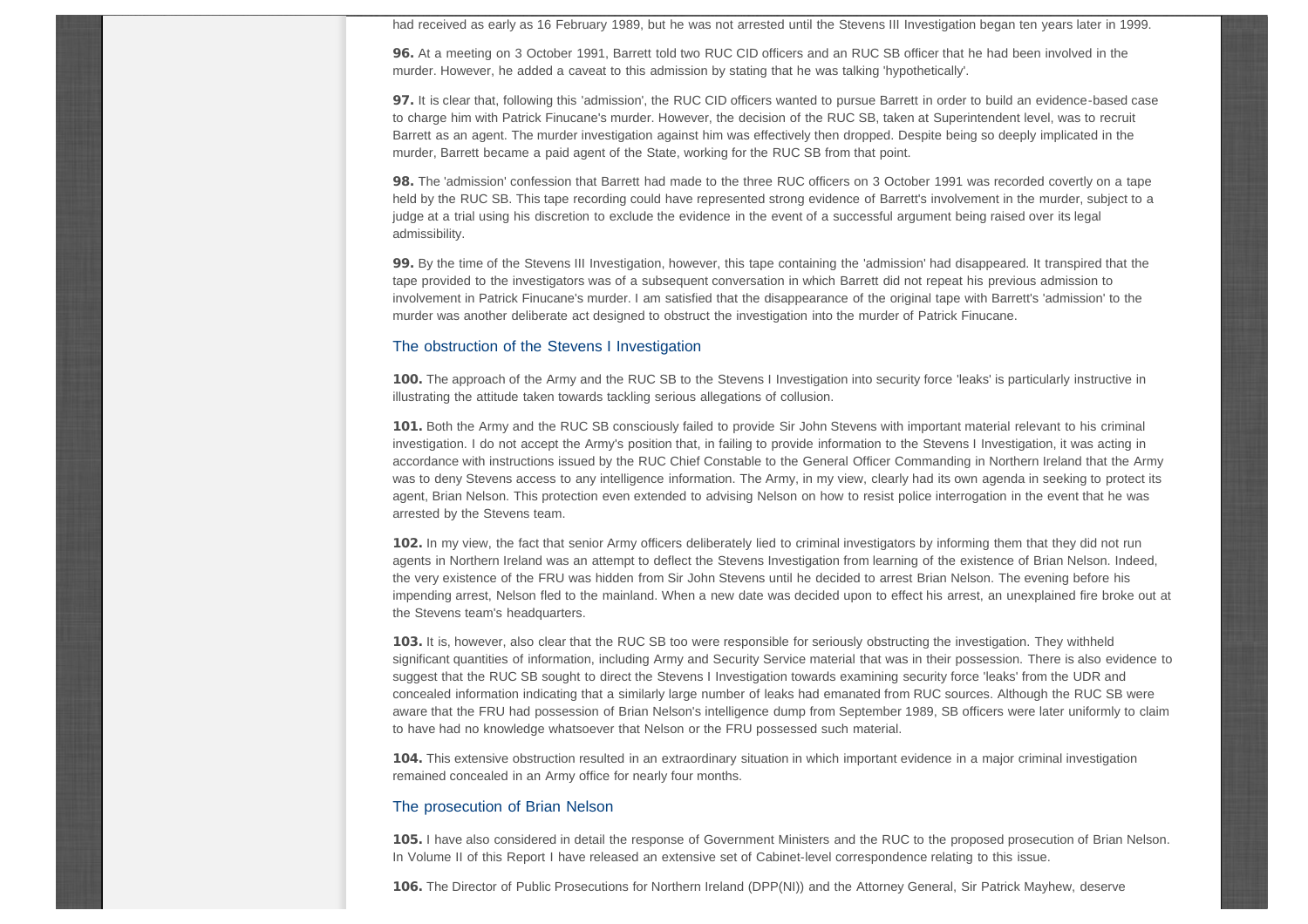had received as early as 16 February 1989, but he was not arrested until the Stevens III Investigation began ten years later in 1999.

96. At a meeting on 3 October 1991, Barrett told two RUC CID officers and an RUC SB officer that he had been involved in the murder. However, he added a caveat to this admission by stating that he was talking 'hypothetically'.

97. It is clear that, following this 'admission', the RUC CID officers wanted to pursue Barrett in order to build an evidence-based case to charge him with Patrick Finucane's murder. However, the decision of the RUC SB, taken at Superintendent level, was to recruit Barrett as an agent. The murder investigation against him was effectively then dropped. Despite being so deeply implicated in the murder, Barrett became a paid agent of the State, working for the RUC SB from that point.

98. The 'admission' confession that Barrett had made to the three RUC officers on 3 October 1991 was recorded covertly on a tape held by the RUC SB. This tape recording could have represented strong evidence of Barrett's involvement in the murder, subject to a judge at a trial using his discretion to exclude the evidence in the event of a successful argument being raised over its legal admissibility.

99. By the time of the Stevens III Investigation, however, this tape containing the 'admission' had disappeared. It transpired that the tape provided to the investigators was of a subsequent conversation in which Barrett did not repeat his previous admission to involvement in Patrick Finucane's murder. I am satisfied that the disappearance of the original tape with Barrett's 'admission' to the murder was another deliberate act designed to obstruct the investigation into the murder of Patrick Finucane.

#### The obstruction of the Stevens I Investigation

100. The approach of the Army and the RUC SB to the Stevens I Investigation into security force 'leaks' is particularly instructive in illustrating the attitude taken towards tackling serious allegations of collusion.

101. Both the Army and the RUC SB consciously failed to provide Sir John Stevens with important material relevant to his criminal investigation. I do not accept the Army's position that, in failing to provide information to the Stevens I Investigation, it was acting in accordance with instructions issued by the RUC Chief Constable to the General Officer Commanding in Northern Ireland that the Army was to deny Stevens access to any intelligence information. The Army, in my view, clearly had its own agenda in seeking to protect its agent, Brian Nelson. This protection even extended to advising Nelson on how to resist police interrogation in the event that he was arrested by the Stevens team.

102. In my view, the fact that senior Army officers deliberately lied to criminal investigators by informing them that they did not run agents in Northern Ireland was an attempt to deflect the Stevens Investigation from learning of the existence of Brian Nelson. Indeed, the very existence of the FRU was hidden from Sir John Stevens until he decided to arrest Brian Nelson. The evening before his impending arrest, Nelson fled to the mainland. When a new date was decided upon to effect his arrest, an unexplained fire broke out at the Stevens team's headquarters.

103. It is, however, also clear that the RUC SB too were responsible for seriously obstructing the investigation. They withheld significant quantities of information, including Army and Security Service material that was in their possession. There is also evidence to suggest that the RUC SB sought to direct the Stevens I Investigation towards examining security force 'leaks' from the UDR and concealed information indicating that a similarly large number of leaks had emanated from RUC sources. Although the RUC SB were aware that the FRU had possession of Brian Nelson's intelligence dump from September 1989, SB officers were later uniformly to claim to have had no knowledge whatsoever that Nelson or the FRU possessed such material.

104. This extensive obstruction resulted in an extraordinary situation in which important evidence in a major criminal investigation remained concealed in an Army office for nearly four months.

#### The prosecution of Brian Nelson

105. I have also considered in detail the response of Government Ministers and the RUC to the proposed prosecution of Brian Nelson. In Volume II of this Report I have released an extensive set of Cabinet-level correspondence relating to this issue.

106. The Director of Public Prosecutions for Northern Ireland (DPP(NI)) and the Attorney General, Sir Patrick Mayhew, deserve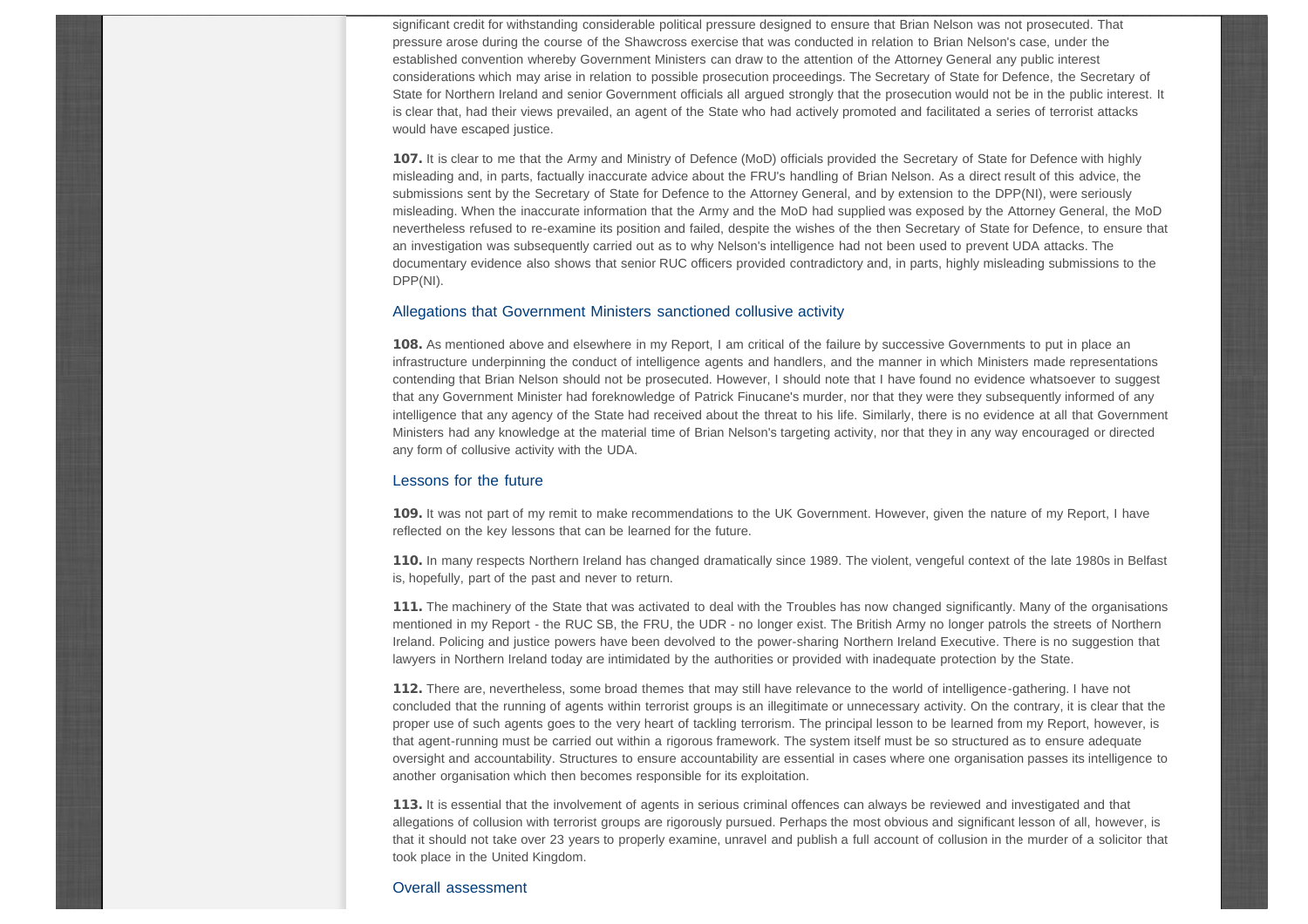significant credit for withstanding considerable political pressure designed to ensure that Brian Nelson was not prosecuted. That pressure arose during the course of the Shawcross exercise that was conducted in relation to Brian Nelson's case, under the established convention whereby Government Ministers can draw to the attention of the Attorney General any public interest considerations which may arise in relation to possible prosecution proceedings. The Secretary of State for Defence, the Secretary of State for Northern Ireland and senior Government officials all argued strongly that the prosecution would not be in the public interest. It is clear that, had their views prevailed, an agent of the State who had actively promoted and facilitated a series of terrorist attacks would have escaped justice.

107. It is clear to me that the Army and Ministry of Defence (MoD) officials provided the Secretary of State for Defence with highly misleading and, in parts, factually inaccurate advice about the FRU's handling of Brian Nelson. As a direct result of this advice, the submissions sent by the Secretary of State for Defence to the Attorney General, and by extension to the DPP(NI), were seriously misleading. When the inaccurate information that the Army and the MoD had supplied was exposed by the Attorney General, the MoD nevertheless refused to re-examine its position and failed, despite the wishes of the then Secretary of State for Defence, to ensure that an investigation was subsequently carried out as to why Nelson's intelligence had not been used to prevent UDA attacks. The documentary evidence also shows that senior RUC officers provided contradictory and, in parts, highly misleading submissions to the DPP(NI).

#### Allegations that Government Ministers sanctioned collusive activity

108. As mentioned above and elsewhere in my Report, I am critical of the failure by successive Governments to put in place an infrastructure underpinning the conduct of intelligence agents and handlers, and the manner in which Ministers made representations contending that Brian Nelson should not be prosecuted. However, I should note that I have found no evidence whatsoever to suggest that any Government Minister had foreknowledge of Patrick Finucane's murder, nor that they were they subsequently informed of any intelligence that any agency of the State had received about the threat to his life. Similarly, there is no evidence at all that Government Ministers had any knowledge at the material time of Brian Nelson's targeting activity, nor that they in any way encouraged or directed any form of collusive activity with the UDA.

#### Lessons for the future

109. It was not part of my remit to make recommendations to the UK Government. However, given the nature of my Report, I have reflected on the key lessons that can be learned for the future.

110. In many respects Northern Ireland has changed dramatically since 1989. The violent, vengeful context of the late 1980s in Belfast is, hopefully, part of the past and never to return.

111. The machinery of the State that was activated to deal with the Troubles has now changed significantly. Many of the organisations mentioned in my Report - the RUC SB, the FRU, the UDR - no longer exist. The British Army no longer patrols the streets of Northern Ireland. Policing and justice powers have been devolved to the power-sharing Northern Ireland Executive. There is no suggestion that lawyers in Northern Ireland today are intimidated by the authorities or provided with inadequate protection by the State.

112. There are, nevertheless, some broad themes that may still have relevance to the world of intelligence-gathering. I have not concluded that the running of agents within terrorist groups is an illegitimate or unnecessary activity. On the contrary, it is clear that the proper use of such agents goes to the very heart of tackling terrorism. The principal lesson to be learned from my Report, however, is that agent-running must be carried out within a rigorous framework. The system itself must be so structured as to ensure adequate oversight and accountability. Structures to ensure accountability are essential in cases where one organisation passes its intelligence to another organisation which then becomes responsible for its exploitation.

113. It is essential that the involvement of agents in serious criminal offences can always be reviewed and investigated and that allegations of collusion with terrorist groups are rigorously pursued. Perhaps the most obvious and significant lesson of all, however, is that it should not take over 23 years to properly examine, unravel and publish a full account of collusion in the murder of a solicitor that took place in the United Kingdom.

#### Overall assessment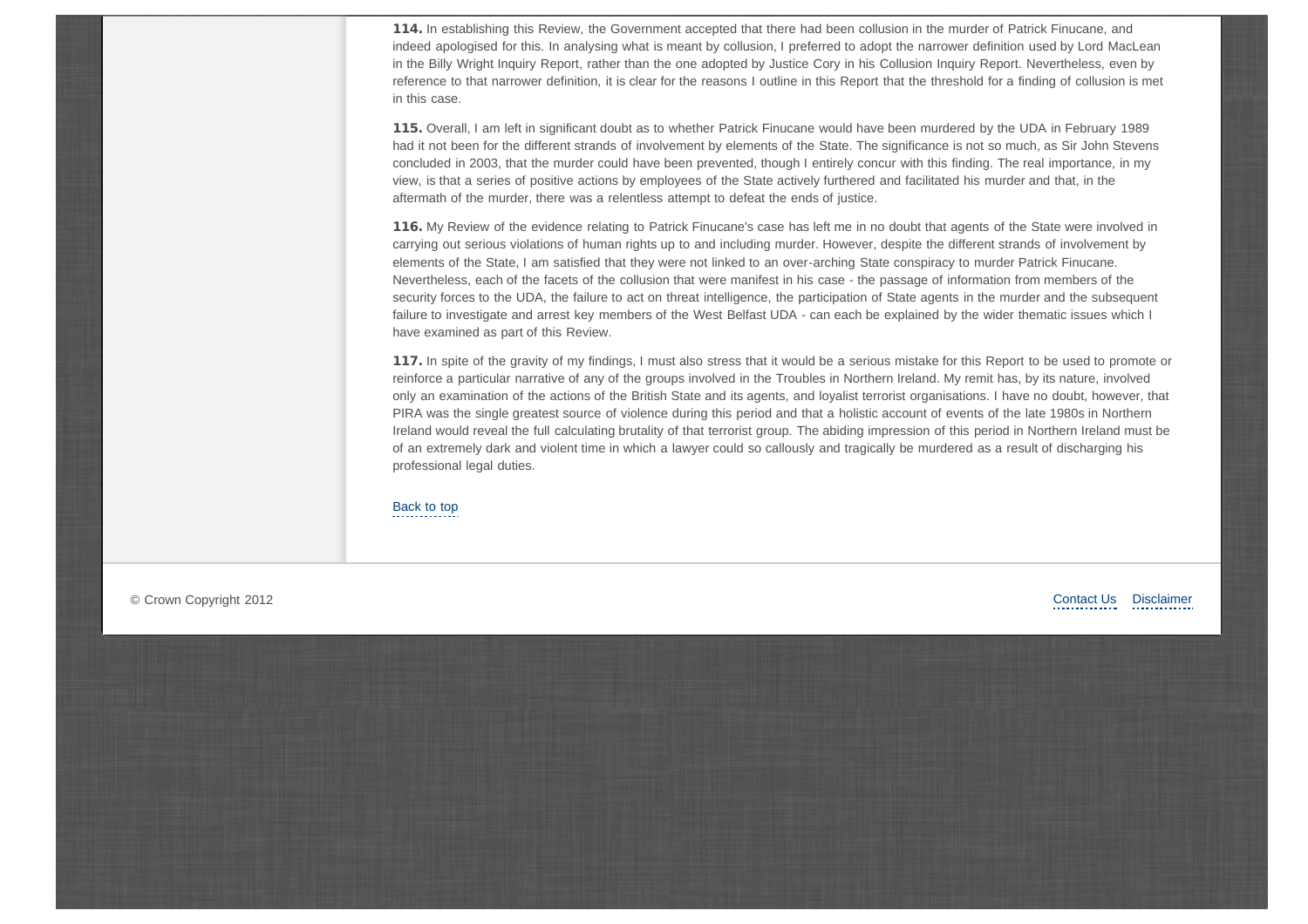114. In establishing this Review, the Government accepted that there had been collusion in the murder of Patrick Finucane, and indeed apologised for this. In analysing what is meant by collusion, I preferred to adopt the narrower definition used by Lord MacLean in the Billy Wright Inquiry Report, rather than the one adopted by Justice Cory in his Collusion Inquiry Report. Nevertheless, even by reference to that narrower definition, it is clear for the reasons I outline in this Report that the threshold for a finding of collusion is met in this case.

115. Overall, I am left in significant doubt as to whether Patrick Finucane would have been murdered by the UDA in February 1989 had it not been for the different strands of involvement by elements of the State. The significance is not so much, as Sir John Stevens concluded in 2003, that the murder could have been prevented, though I entirely concur with this finding. The real importance, in my view, is that a series of positive actions by employees of the State actively furthered and facilitated his murder and that, in the aftermath of the murder, there was a relentless attempt to defeat the ends of justice.

116. My Review of the evidence relating to Patrick Finucane's case has left me in no doubt that agents of the State were involved in carrying out serious violations of human rights up to and including murder. However, despite the different strands of involvement by elements of the State, I am satisfied that they were not linked to an over-arching State conspiracy to murder Patrick Finucane. Nevertheless, each of the facets of the collusion that were manifest in his case - the passage of information from members of the security forces to the UDA, the failure to act on threat intelligence, the participation of State agents in the murder and the subsequent failure to investigate and arrest key members of the West Belfast UDA - can each be explained by the wider thematic issues which I have examined as part of this Review.

117. In spite of the gravity of my findings, I must also stress that it would be a serious mistake for this Report to be used to promote or reinforce a particular narrative of any of the groups involved in the Troubles in Northern Ireland. My remit has, by its nature, involved only an examination of the actions of the British State and its agents, and loyalist terrorist organisations. I have no doubt, however, that PIRA was the single greatest source of violence during this period and that a holistic account of events of the late 1980s in Northern Ireland would reveal the full calculating brutality of that terrorist group. The abiding impression of this period in Northern Ireland must be of an extremely dark and violent time in which a lawyer could so callously and tragically be murdered as a result of discharging his professional legal duties.

[Back to top](#page-0-1)

© Crown Copyright 2012

[Contact Us](http://www.patfinucanereview.org/page/contact-us.html) [Disclaimer](http://www.patfinucanereview.org/page/disclaimer.html)